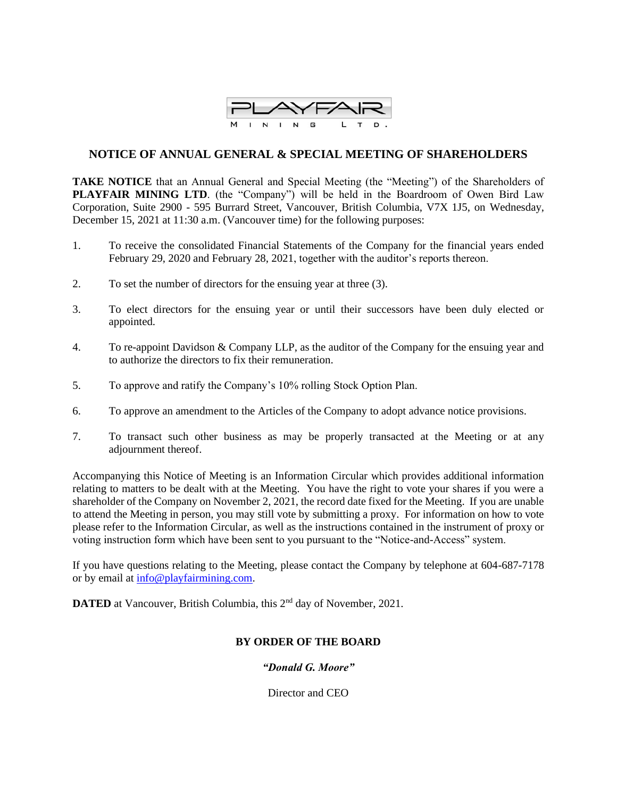

# **NOTICE OF ANNUAL GENERAL & SPECIAL MEETING OF SHAREHOLDERS**

**TAKE NOTICE** that an Annual General and Special Meeting (the "Meeting") of the Shareholders of **PLAYFAIR MINING LTD**. (the "Company") will be held in the Boardroom of Owen Bird Law Corporation, Suite 2900 - 595 Burrard Street, Vancouver, British Columbia, V7X 1J5, on Wednesday, December 15, 2021 at 11:30 a.m. (Vancouver time) for the following purposes:

- 1. To receive the consolidated Financial Statements of the Company for the financial years ended February 29, 2020 and February 28, 2021, together with the auditor's reports thereon.
- 2. To set the number of directors for the ensuing year at three (3).
- 3. To elect directors for the ensuing year or until their successors have been duly elected or appointed.
- 4. To re-appoint Davidson & Company LLP, as the auditor of the Company for the ensuing year and to authorize the directors to fix their remuneration.
- 5. To approve and ratify the Company's 10% rolling Stock Option Plan.
- 6. To approve an amendment to the Articles of the Company to adopt advance notice provisions.
- 7. To transact such other business as may be properly transacted at the Meeting or at any adjournment thereof.

Accompanying this Notice of Meeting is an Information Circular which provides additional information relating to matters to be dealt with at the Meeting. You have the right to vote your shares if you were a shareholder of the Company on November 2, 2021, the record date fixed for the Meeting. If you are unable to attend the Meeting in person, you may still vote by submitting a proxy. For information on how to vote please refer to the Information Circular, as well as the instructions contained in the instrument of proxy or voting instruction form which have been sent to you pursuant to the "Notice-and-Access" system.

If you have questions relating to the Meeting, please contact the Company by telephone at 604-687-7178 or by email at [info@playfairmining.com.](mailto:info@playfairmining.com)

**DATED** at Vancouver, British Columbia, this 2<sup>nd</sup> day of November, 2021.

# **BY ORDER OF THE BOARD**

*"Donald G. Moore"*

Director and CEO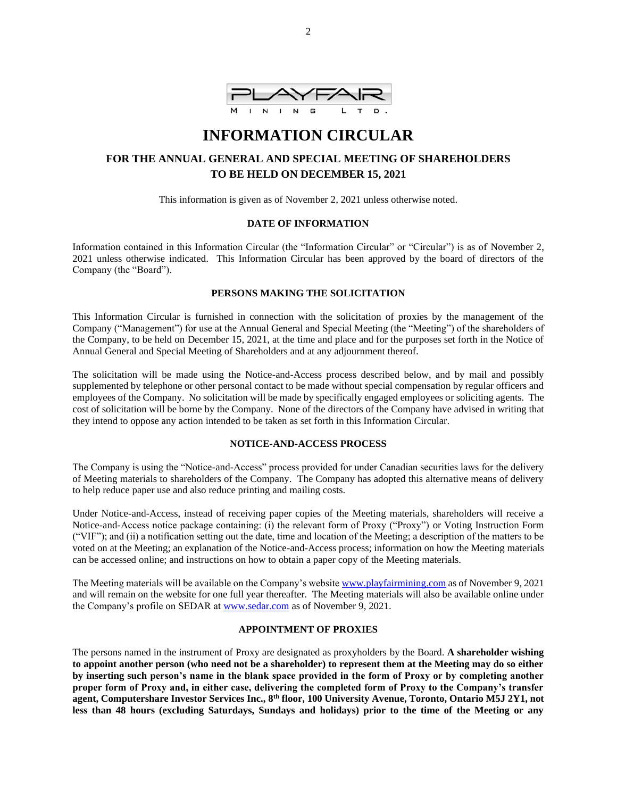

# **INFORMATION CIRCULAR**

# **FOR THE ANNUAL GENERAL AND SPECIAL MEETING OF SHAREHOLDERS TO BE HELD ON DECEMBER 15, 2021**

This information is given as of November 2, 2021 unless otherwise noted.

### **DATE OF INFORMATION**

Information contained in this Information Circular (the "Information Circular" or "Circular") is as of November 2, 2021 unless otherwise indicated. This Information Circular has been approved by the board of directors of the Company (the "Board").

# **PERSONS MAKING THE SOLICITATION**

This Information Circular is furnished in connection with the solicitation of proxies by the management of the Company ("Management") for use at the Annual General and Special Meeting (the "Meeting") of the shareholders of the Company, to be held on December 15, 2021, at the time and place and for the purposes set forth in the Notice of Annual General and Special Meeting of Shareholders and at any adjournment thereof.

The solicitation will be made using the Notice-and-Access process described below, and by mail and possibly supplemented by telephone or other personal contact to be made without special compensation by regular officers and employees of the Company. No solicitation will be made by specifically engaged employees or soliciting agents. The cost of solicitation will be borne by the Company. None of the directors of the Company have advised in writing that they intend to oppose any action intended to be taken as set forth in this Information Circular.

### **NOTICE-AND-ACCESS PROCESS**

The Company is using the "Notice-and-Access" process provided for under Canadian securities laws for the delivery of Meeting materials to shareholders of the Company. The Company has adopted this alternative means of delivery to help reduce paper use and also reduce printing and mailing costs.

Under Notice-and-Access, instead of receiving paper copies of the Meeting materials, shareholders will receive a Notice-and-Access notice package containing: (i) the relevant form of Proxy ("Proxy") or Voting Instruction Form ("VIF"); and (ii) a notification setting out the date, time and location of the Meeting; a description of the matters to be voted on at the Meeting; an explanation of the Notice-and-Access process; information on how the Meeting materials can be accessed online; and instructions on how to obtain a paper copy of the Meeting materials.

The Meeting materials will be available on the Company's website [www.playfairmining.](http://www.playfairmining/)com as of November 9, 2021 and will remain on the website for one full year thereafter. The Meeting materials will also be available online under the Company's profile on SEDAR at [www.sedar.com](http://www.sedar.com/) as of November 9, 2021.

### **APPOINTMENT OF PROXIES**

The persons named in the instrument of Proxy are designated as proxyholders by the Board. **A shareholder wishing to appoint another person (who need not be a shareholder) to represent them at the Meeting may do so either by inserting such person's name in the blank space provided in the form of Proxy or by completing another proper form of Proxy and, in either case, delivering the completed form of Proxy to the Company's transfer agent, Computershare Investor Services Inc., 8th floor, 100 University Avenue, Toronto, Ontario M5J 2Y1, not less than 48 hours (excluding Saturdays, Sundays and holidays) prior to the time of the Meeting or any**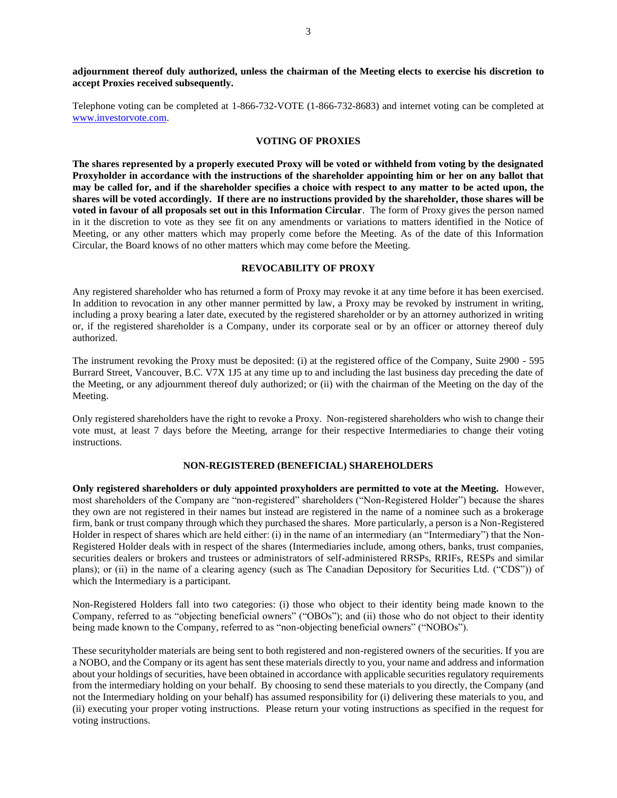Telephone voting can be completed at 1-866-732-VOTE (1-866-732-8683) and internet voting can be completed at [www.investorvote.com.](http://www.investorvote.com/)

#### **VOTING OF PROXIES**

**The shares represented by a properly executed Proxy will be voted or withheld from voting by the designated Proxyholder in accordance with the instructions of the shareholder appointing him or her on any ballot that may be called for, and if the shareholder specifies a choice with respect to any matter to be acted upon, the shares will be voted accordingly. If there are no instructions provided by the shareholder, those shares will be voted in favour of all proposals set out in this Information Circular**. The form of Proxy gives the person named in it the discretion to vote as they see fit on any amendments or variations to matters identified in the Notice of Meeting, or any other matters which may properly come before the Meeting. As of the date of this Information Circular, the Board knows of no other matters which may come before the Meeting.

#### **REVOCABILITY OF PROXY**

Any registered shareholder who has returned a form of Proxy may revoke it at any time before it has been exercised. In addition to revocation in any other manner permitted by law, a Proxy may be revoked by instrument in writing, including a proxy bearing a later date, executed by the registered shareholder or by an attorney authorized in writing or, if the registered shareholder is a Company, under its corporate seal or by an officer or attorney thereof duly authorized.

The instrument revoking the Proxy must be deposited: (i) at the registered office of the Company, Suite 2900 - 595 Burrard Street, Vancouver, B.C. V7X 1J5 at any time up to and including the last business day preceding the date of the Meeting, or any adjournment thereof duly authorized; or (ii) with the chairman of the Meeting on the day of the Meeting.

Only registered shareholders have the right to revoke a Proxy. Non-registered shareholders who wish to change their vote must, at least 7 days before the Meeting, arrange for their respective Intermediaries to change their voting instructions.

### **NON-REGISTERED (BENEFICIAL) SHAREHOLDERS**

**Only registered shareholders or duly appointed proxyholders are permitted to vote at the Meeting.** However, most shareholders of the Company are "non-registered" shareholders ("Non-Registered Holder") because the shares they own are not registered in their names but instead are registered in the name of a nominee such as a brokerage firm, bank or trust company through which they purchased the shares. More particularly, a person is a Non-Registered Holder in respect of shares which are held either: (i) in the name of an intermediary (an "Intermediary") that the Non-Registered Holder deals with in respect of the shares (Intermediaries include, among others, banks, trust companies, securities dealers or brokers and trustees or administrators of self-administered RRSPs, RRIFs, RESPs and similar plans); or (ii) in the name of a clearing agency (such as The Canadian Depository for Securities Ltd. ("CDS")) of which the Intermediary is a participant.

Non-Registered Holders fall into two categories: (i) those who object to their identity being made known to the Company, referred to as "objecting beneficial owners" ("OBOs"); and (ii) those who do not object to their identity being made known to the Company, referred to as "non-objecting beneficial owners" ("NOBOs").

These securityholder materials are being sent to both registered and non-registered owners of the securities. If you are a NOBO, and the Company or its agent has sent these materials directly to you, your name and address and information about your holdings of securities, have been obtained in accordance with applicable securities regulatory requirements from the intermediary holding on your behalf. By choosing to send these materials to you directly, the Company (and not the Intermediary holding on your behalf) has assumed responsibility for (i) delivering these materials to you, and (ii) executing your proper voting instructions. Please return your voting instructions as specified in the request for voting instructions.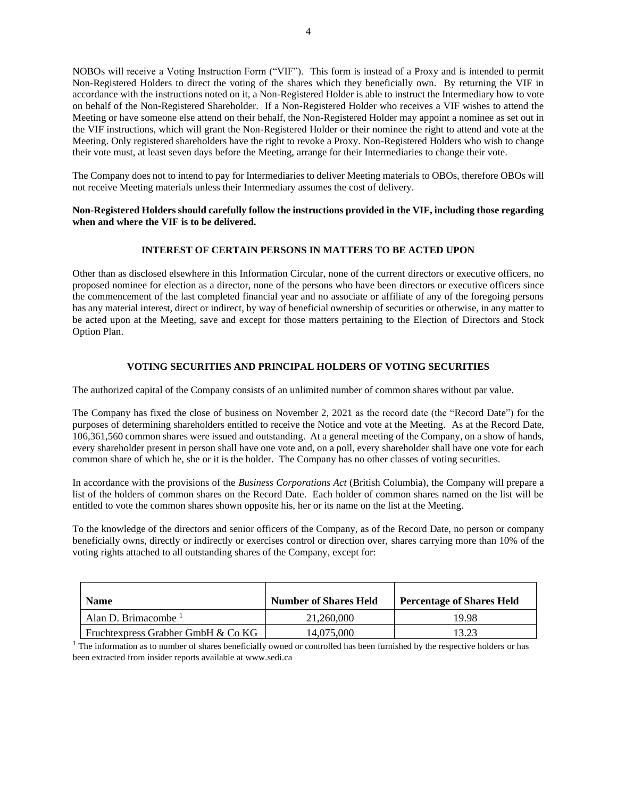NOBOs will receive a Voting Instruction Form ("VIF"). This form is instead of a Proxy and is intended to permit Non-Registered Holders to direct the voting of the shares which they beneficially own. By returning the VIF in accordance with the instructions noted on it, a Non-Registered Holder is able to instruct the Intermediary how to vote on behalf of the Non-Registered Shareholder.If a Non-Registered Holder who receives a VIF wishes to attend the Meeting or have someone else attend on their behalf, the Non-Registered Holder may appoint a nominee as set out in the VIF instructions, which will grant the Non-Registered Holder or their nominee the right to attend and vote at the Meeting. Only registered shareholders have the right to revoke a Proxy. Non-Registered Holders who wish to change their vote must, at least seven days before the Meeting, arrange for their Intermediaries to change their vote.

The Company does not to intend to pay for Intermediaries to deliver Meeting materials to OBOs, therefore OBOs will not receive Meeting materials unless their Intermediary assumes the cost of delivery.

### **Non-Registered Holders should carefully follow the instructions provided in the VIF, including those regarding when and where the VIF is to be delivered.**

### **INTEREST OF CERTAIN PERSONS IN MATTERS TO BE ACTED UPON**

Other than as disclosed elsewhere in this Information Circular, none of the current directors or executive officers, no proposed nominee for election as a director, none of the persons who have been directors or executive officers since the commencement of the last completed financial year and no associate or affiliate of any of the foregoing persons has any material interest, direct or indirect, by way of beneficial ownership of securities or otherwise, in any matter to be acted upon at the Meeting, save and except for those matters pertaining to the Election of Directors and Stock Option Plan.

### **VOTING SECURITIES AND PRINCIPAL HOLDERS OF VOTING SECURITIES**

The authorized capital of the Company consists of an unlimited number of common shares without par value.

The Company has fixed the close of business on November 2, 2021 as the record date (the "Record Date") for the purposes of determining shareholders entitled to receive the Notice and vote at the Meeting. As at the Record Date, 106,361,560 common shares were issued and outstanding. At a general meeting of the Company, on a show of hands, every shareholder present in person shall have one vote and, on a poll, every shareholder shall have one vote for each common share of which he, she or it is the holder. The Company has no other classes of voting securities.

In accordance with the provisions of the *Business Corporations Act* (British Columbia), the Company will prepare a list of the holders of common shares on the Record Date. Each holder of common shares named on the list will be entitled to vote the common shares shown opposite his, her or its name on the list at the Meeting.

To the knowledge of the directors and senior officers of the Company, as of the Record Date, no person or company beneficially owns, directly or indirectly or exercises control or direction over, shares carrying more than 10% of the voting rights attached to all outstanding shares of the Company, except for:

| <b>Name</b>                        | <b>Number of Shares Held</b> | <b>Percentage of Shares Held</b> |
|------------------------------------|------------------------------|----------------------------------|
| Alan D. Brimacombe $1$             | 21,260,000                   | 19.98                            |
| Fruchtexpress Grabher GmbH & Co KG | 14,075,000                   | 13.23                            |

 $1$  The information as to number of shares beneficially owned or controlled has been furnished by the respective holders or has been extracted from insider reports available at www.sedi.ca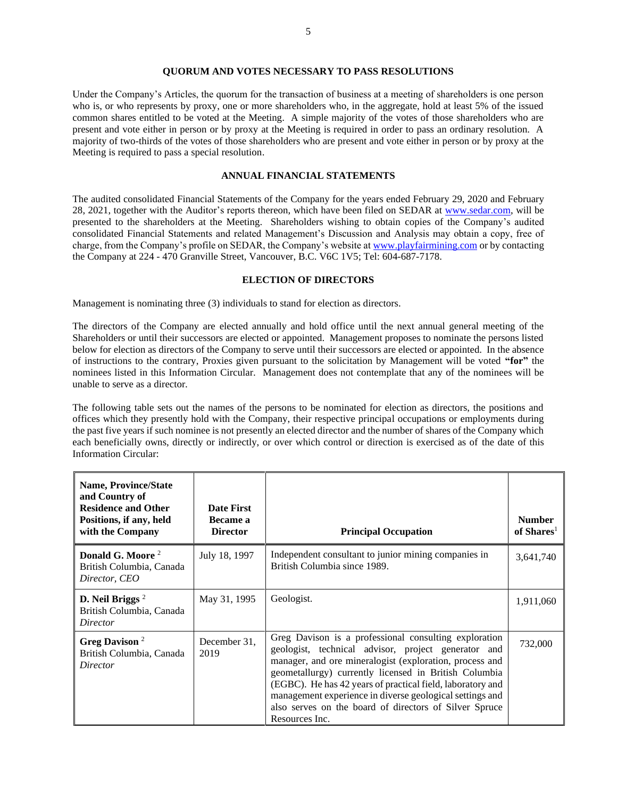#### **QUORUM AND VOTES NECESSARY TO PASS RESOLUTIONS**

Under the Company's Articles, the quorum for the transaction of business at a meeting of shareholders is one person who is, or who represents by proxy, one or more shareholders who, in the aggregate, hold at least 5% of the issued common shares entitled to be voted at the Meeting. A simple majority of the votes of those shareholders who are present and vote either in person or by proxy at the Meeting is required in order to pass an ordinary resolution. A majority of two-thirds of the votes of those shareholders who are present and vote either in person or by proxy at the Meeting is required to pass a special resolution.

#### **ANNUAL FINANCIAL STATEMENTS**

The audited consolidated Financial Statements of the Company for the years ended February 29, 2020 and February 28, 2021, together with the Auditor's reports thereon, which have been filed on SEDAR at [www.sedar.com,](http://www.sedar.com/) will be presented to the shareholders at the Meeting. Shareholders wishing to obtain copies of the Company's audited consolidated Financial Statements and related Management's Discussion and Analysis may obtain a copy, free of charge, from the Company's profile on SEDAR, the Company's website a[t www.playfairmining.com](http://www.playfairmining.com/) or by contacting the Company at 224 - 470 Granville Street, Vancouver, B.C. V6C 1V5; Tel: 604-687-7178.

#### **ELECTION OF DIRECTORS**

Management is nominating three (3) individuals to stand for election as directors.

The directors of the Company are elected annually and hold office until the next annual general meeting of the Shareholders or until their successors are elected or appointed. Management proposes to nominate the persons listed below for election as directors of the Company to serve until their successors are elected or appointed. In the absence of instructions to the contrary, Proxies given pursuant to the solicitation by Management will be voted **"for"** the nominees listed in this Information Circular. Management does not contemplate that any of the nominees will be unable to serve as a director.

The following table sets out the names of the persons to be nominated for election as directors, the positions and offices which they presently hold with the Company, their respective principal occupations or employments during the past five years if such nominee is not presently an elected director and the number of shares of the Company which each beneficially owns, directly or indirectly, or over which control or direction is exercised as of the date of this Information Circular:

| <b>Name, Province/State</b><br>and Country of<br><b>Residence and Other</b><br>Positions, if any, held<br>with the Company | <b>Date First</b><br>Became a<br><b>Director</b> | <b>Principal Occupation</b>                                                                                                                                                                                                                                                                                                                                                                                                            | <b>Number</b><br>of Shares <sup>1</sup> |
|----------------------------------------------------------------------------------------------------------------------------|--------------------------------------------------|----------------------------------------------------------------------------------------------------------------------------------------------------------------------------------------------------------------------------------------------------------------------------------------------------------------------------------------------------------------------------------------------------------------------------------------|-----------------------------------------|
| Donald G. Moore <sup>2</sup><br>British Columbia, Canada<br>Director, CEO                                                  | July 18, 1997                                    | Independent consultant to junior mining companies in<br>British Columbia since 1989.                                                                                                                                                                                                                                                                                                                                                   | 3,641,740                               |
| D. Neil Briggs $2$<br>British Columbia, Canada<br>Director                                                                 | May 31, 1995                                     | Geologist.                                                                                                                                                                                                                                                                                                                                                                                                                             | 1,911,060                               |
| Greg Davison <sup>2</sup><br>British Columbia, Canada<br>Director                                                          | December 31,<br>2019                             | Greg Davison is a professional consulting exploration<br>geologist, technical advisor, project generator and<br>manager, and ore mineralogist (exploration, process and<br>geometallurgy) currently licensed in British Columbia<br>(EGBC). He has 42 years of practical field, laboratory and<br>management experience in diverse geological settings and<br>also serves on the board of directors of Silver Spruce<br>Resources Inc. | 732,000                                 |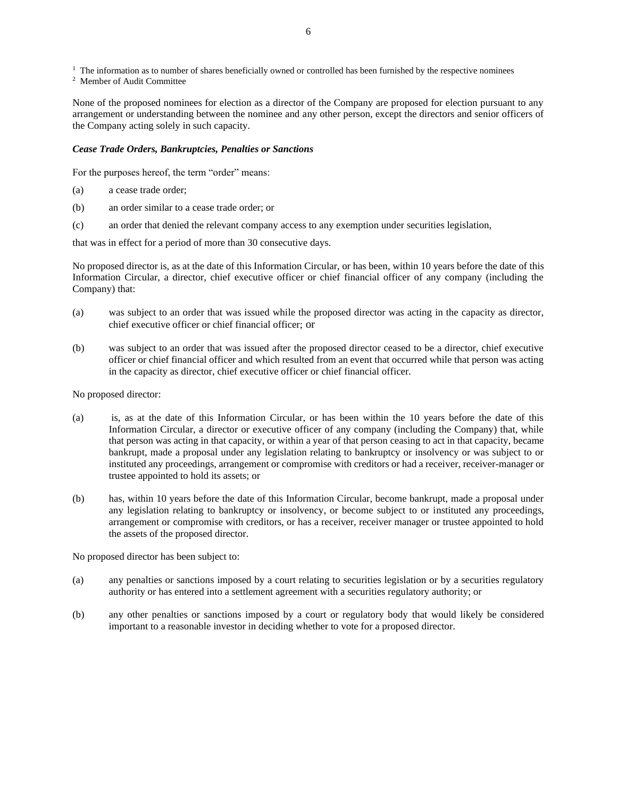$<sup>1</sup>$  The information as to number of shares beneficially owned or controlled has been furnished by the respective nominees</sup>

<sup>2</sup> Member of Audit Committee

None of the proposed nominees for election as a director of the Company are proposed for election pursuant to any arrangement or understanding between the nominee and any other person, except the directors and senior officers of the Company acting solely in such capacity.

#### *Cease Trade Orders, Bankruptcies, Penalties or Sanctions*

For the purposes hereof, the term "order" means:

- (a) a cease trade order;
- (b) an order similar to a cease trade order; or
- (c) an order that denied the relevant company access to any exemption under securities legislation,

that was in effect for a period of more than 30 consecutive days.

No proposed director is, as at the date of this Information Circular, or has been, within 10 years before the date of this Information Circular, a director, chief executive officer or chief financial officer of any company (including the Company) that:

- (a) was subject to an order that was issued while the proposed director was acting in the capacity as director, chief executive officer or chief financial officer; or
- (b) was subject to an order that was issued after the proposed director ceased to be a director, chief executive officer or chief financial officer and which resulted from an event that occurred while that person was acting in the capacity as director, chief executive officer or chief financial officer.

#### No proposed director:

- (a) is, as at the date of this Information Circular, or has been within the 10 years before the date of this Information Circular, a director or executive officer of any company (including the Company) that, while that person was acting in that capacity, or within a year of that person ceasing to act in that capacity, became bankrupt, made a proposal under any legislation relating to bankruptcy or insolvency or was subject to or instituted any proceedings, arrangement or compromise with creditors or had a receiver, receiver-manager or trustee appointed to hold its assets; or
- (b) has, within 10 years before the date of this Information Circular, become bankrupt, made a proposal under any legislation relating to bankruptcy or insolvency, or become subject to or instituted any proceedings, arrangement or compromise with creditors, or has a receiver, receiver manager or trustee appointed to hold the assets of the proposed director.

No proposed director has been subject to:

- (a) any penalties or sanctions imposed by a court relating to securities legislation or by a securities regulatory authority or has entered into a settlement agreement with a securities regulatory authority; or
- (b) any other penalties or sanctions imposed by a court or regulatory body that would likely be considered important to a reasonable investor in deciding whether to vote for a proposed director.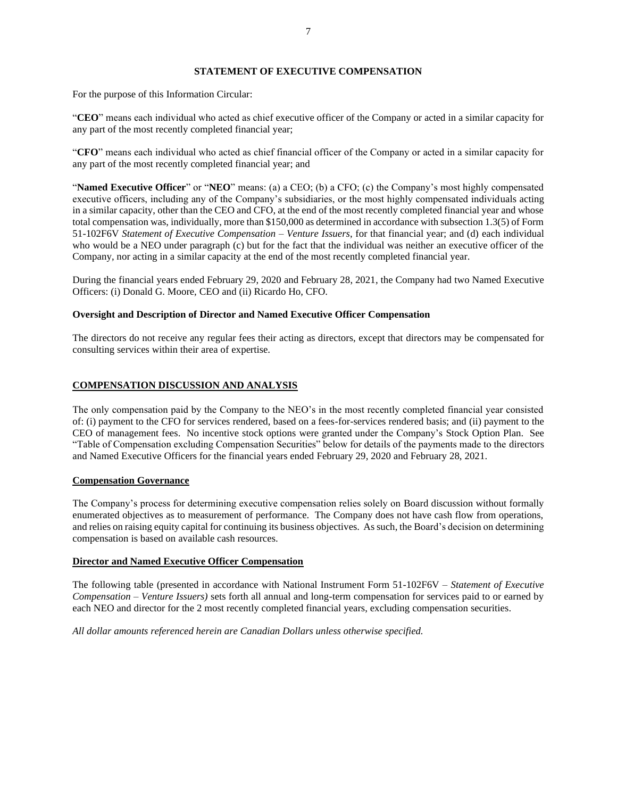#### **STATEMENT OF EXECUTIVE COMPENSATION**

For the purpose of this Information Circular:

"**CEO**" means each individual who acted as chief executive officer of the Company or acted in a similar capacity for any part of the most recently completed financial year;

"**CFO**" means each individual who acted as chief financial officer of the Company or acted in a similar capacity for any part of the most recently completed financial year; and

"**Named Executive Officer**" or "**NEO**" means: (a) a CEO; (b) a CFO; (c) the Company's most highly compensated executive officers, including any of the Company's subsidiaries, or the most highly compensated individuals acting in a similar capacity, other than the CEO and CFO, at the end of the most recently completed financial year and whose total compensation was, individually, more than \$150,000 as determined in accordance with subsection 1.3(5) of Form 51-102F6V *Statement of Executive Compensation – Venture Issuers*, for that financial year; and (d) each individual who would be a NEO under paragraph (c) but for the fact that the individual was neither an executive officer of the Company, nor acting in a similar capacity at the end of the most recently completed financial year.

During the financial years ended February 29, 2020 and February 28, 2021, the Company had two Named Executive Officers: (i) Donald G. Moore, CEO and (ii) Ricardo Ho, CFO.

### **Oversight and Description of Director and Named Executive Officer Compensation**

The directors do not receive any regular fees their acting as directors, except that directors may be compensated for consulting services within their area of expertise.

### **COMPENSATION DISCUSSION AND ANALYSIS**

The only compensation paid by the Company to the NEO's in the most recently completed financial year consisted of: (i) payment to the CFO for services rendered, based on a fees-for-services rendered basis; and (ii) payment to the CEO of management fees. No incentive stock options were granted under the Company's Stock Option Plan. See "Table of Compensation excluding Compensation Securities" below for details of the payments made to the directors and Named Executive Officers for the financial years ended February 29, 2020 and February 28, 2021.

#### **Compensation Governance**

The Company's process for determining executive compensation relies solely on Board discussion without formally enumerated objectives as to measurement of performance. The Company does not have cash flow from operations, and relies on raising equity capital for continuing its business objectives. As such, the Board's decision on determining compensation is based on available cash resources.

#### **Director and Named Executive Officer Compensation**

The following table (presented in accordance with National Instrument Form 51-102F6V – *Statement of Executive Compensation – Venture Issuers)* sets forth all annual and long-term compensation for services paid to or earned by each NEO and director for the 2 most recently completed financial years, excluding compensation securities.

*All dollar amounts referenced herein are Canadian Dollars unless otherwise specified.*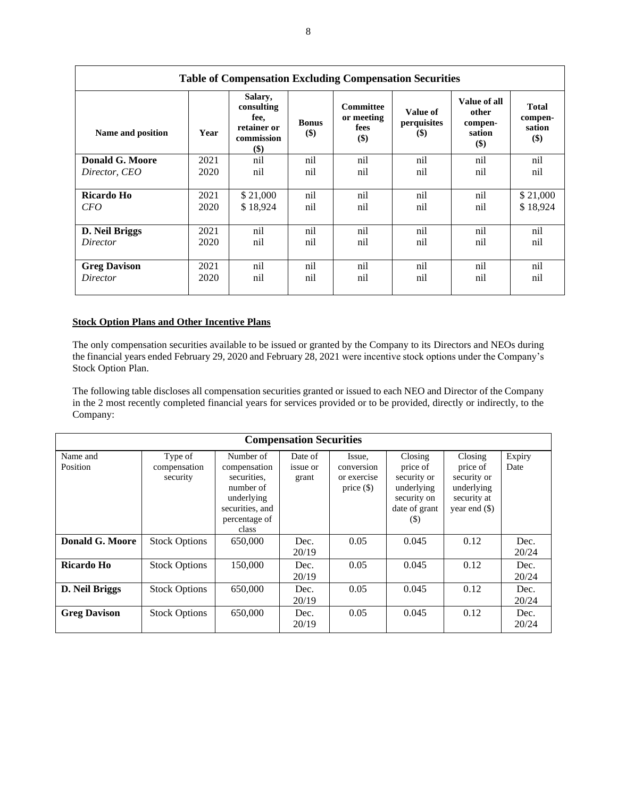| <b>Table of Compensation Excluding Compensation Securities</b> |      |                                                                   |                     |                                                      |                                   |                                                       |                                          |
|----------------------------------------------------------------|------|-------------------------------------------------------------------|---------------------|------------------------------------------------------|-----------------------------------|-------------------------------------------------------|------------------------------------------|
| Name and position                                              | Year | Salary,<br>consulting<br>fee.<br>retainer or<br>commission<br>\$) | <b>Bonus</b><br>\$) | <b>Committee</b><br>or meeting<br><b>fees</b><br>\$) | Value of<br>perquisites<br>$(\$)$ | Value of all<br>other<br>compen-<br>sation<br>$($ \$) | <b>Total</b><br>compen-<br>sation<br>\$) |
| <b>Donald G. Moore</b>                                         | 2021 | nil                                                               | nil                 | nil                                                  | nil                               | nil                                                   | nil                                      |
| Director, CEO                                                  | 2020 | nil                                                               | nil                 | nil                                                  | nil                               | nil                                                   | nil                                      |
| Ricardo Ho                                                     | 2021 | \$21,000                                                          | nil                 | nil                                                  | nil                               | nil                                                   | \$21,000                                 |
| <i>CFO</i>                                                     | 2020 | \$18,924                                                          | nil                 | nil                                                  | nil                               | nil                                                   | \$18,924                                 |
| D. Neil Briggs                                                 | 2021 | nil                                                               | nil                 | nil                                                  | nil                               | nil                                                   | nil                                      |
| Director                                                       | 2020 | nil                                                               | nil                 | nil                                                  | nil                               | nil                                                   | nil                                      |
| <b>Greg Davison</b>                                            | 2021 | nil                                                               | nil                 | nil                                                  | nil                               | nil                                                   | nil                                      |
| Director                                                       | 2020 | nil                                                               | nil                 | nil                                                  | nil                               | nil                                                   | nil                                      |

## **Stock Option Plans and Other Incentive Plans**

The only compensation securities available to be issued or granted by the Company to its Directors and NEOs during the financial years ended February 29, 2020 and February 28, 2021 were incentive stock options under the Company's Stock Option Plan.

The following table discloses all compensation securities granted or issued to each NEO and Director of the Company in the 2 most recently completed financial years for services provided or to be provided, directly or indirectly, to the Company:

| <b>Compensation Securities</b> |                                     |                                                                                                                  |                              |                                                     |                                                                                         |                                                                                    |                |
|--------------------------------|-------------------------------------|------------------------------------------------------------------------------------------------------------------|------------------------------|-----------------------------------------------------|-----------------------------------------------------------------------------------------|------------------------------------------------------------------------------------|----------------|
| Name and<br>Position           | Type of<br>compensation<br>security | Number of<br>compensation<br>securities.<br>number of<br>underlying<br>securities, and<br>percentage of<br>class | Date of<br>issue or<br>grant | Issue,<br>conversion<br>or exercise<br>price $(\$)$ | Closing<br>price of<br>security or<br>underlying<br>security on<br>date of grant<br>(S) | Closing<br>price of<br>security or<br>underlying<br>security at<br>year end $(\$)$ | Expiry<br>Date |
| <b>Donald G. Moore</b>         | <b>Stock Options</b>                | 650,000                                                                                                          | Dec.<br>20/19                | 0.05                                                | 0.045                                                                                   | 0.12                                                                               | Dec.<br>20/24  |
| Ricardo Ho                     | <b>Stock Options</b>                | 150,000                                                                                                          | Dec.<br>20/19                | 0.05                                                | 0.045                                                                                   | 0.12                                                                               | Dec.<br>20/24  |
| D. Neil Briggs                 | <b>Stock Options</b>                | 650,000                                                                                                          | Dec.<br>20/19                | 0.05                                                | 0.045                                                                                   | 0.12                                                                               | Dec.<br>20/24  |
| <b>Greg Davison</b>            | <b>Stock Options</b>                | 650,000                                                                                                          | Dec.<br>20/19                | 0.05                                                | 0.045                                                                                   | 0.12                                                                               | Dec.<br>20/24  |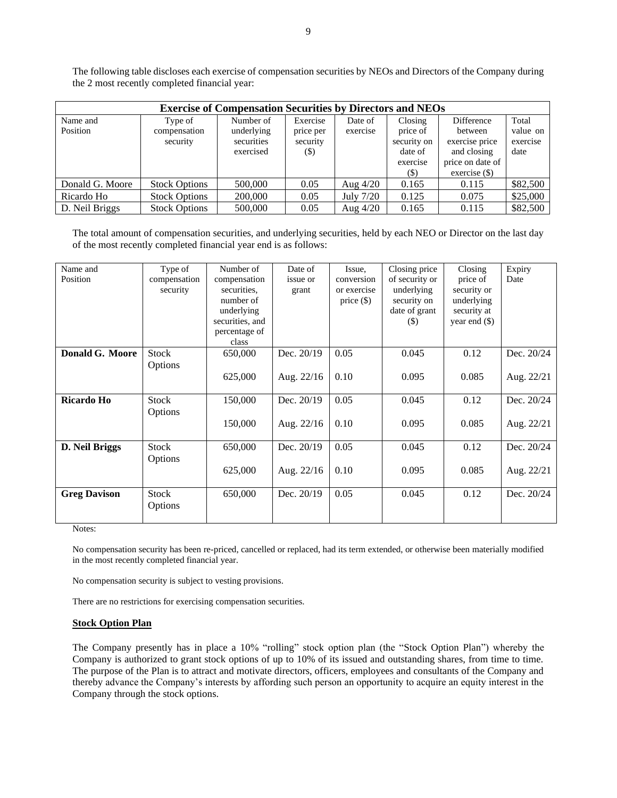The following table discloses each exercise of compensation securities by NEOs and Directors of the Company during the 2 most recently completed financial year:

| <b>Exercise of Compensation Securities by Directors and NEOs</b> |                      |            |           |            |             |                  |          |
|------------------------------------------------------------------|----------------------|------------|-----------|------------|-------------|------------------|----------|
| Name and                                                         | Type of              | Number of  | Exercise  | Date of    | Closing     | Difference       | Total    |
| Position                                                         | compensation         | underlying | price per | exercise   | price of    | between          | value on |
|                                                                  | security             | securities | security  |            | security on | exercise price   | exercise |
|                                                                  |                      | exercised  | (\$)      |            | date of     | and closing      | date     |
|                                                                  |                      |            |           |            | exercise    | price on date of |          |
|                                                                  |                      |            |           |            | (S)         | $exercise (\$)$  |          |
| Donald G. Moore                                                  | <b>Stock Options</b> | 500,000    | 0.05      | Aug $4/20$ | 0.165       | 0.115            | \$82,500 |
| Ricardo Ho                                                       | <b>Stock Options</b> | 200,000    | 0.05      | July 7/20  | 0.125       | 0.075            | \$25,000 |
| D. Neil Briggs                                                   | <b>Stock Options</b> | 500,000    | 0.05      | Aug $4/20$ | 0.165       | 0.115            | \$82,500 |

The total amount of compensation securities, and underlying securities, held by each NEO or Director on the last day of the most recently completed financial year end is as follows:

| Name and               | Type of      | Number of       | Date of      | Issue,       | Closing price                | Closing         | Expiry     |
|------------------------|--------------|-----------------|--------------|--------------|------------------------------|-----------------|------------|
| Position               | compensation | compensation    | issue or     | conversion   | of security or               | price of        | Date       |
|                        | security     | securities.     | grant        | or exercise  | underlying                   | security or     |            |
|                        |              | number of       |              | price $(\$)$ | security on                  | underlying      |            |
|                        |              | underlying      |              |              | date of grant                | security at     |            |
|                        |              | securities, and |              |              | $\left( \mathcal{S} \right)$ | year end $(\$)$ |            |
|                        |              | percentage of   |              |              |                              |                 |            |
|                        |              | class           |              |              |                              |                 |            |
| <b>Donald G. Moore</b> | <b>Stock</b> | 650,000         | Dec. 20/19   | 0.05         | 0.045                        | 0.12            | Dec. 20/24 |
|                        | Options      |                 |              |              |                              |                 |            |
|                        |              | 625,000         | Aug. $22/16$ | 0.10         | 0.095                        | 0.085           | Aug. 22/21 |
|                        |              |                 |              |              |                              |                 |            |
| Ricardo Ho             | <b>Stock</b> | 150,000         | Dec. 20/19   | 0.05         | 0.045                        | 0.12            | Dec. 20/24 |
|                        | Options      |                 |              |              |                              |                 |            |
|                        |              | 150,000         | Aug. 22/16   | 0.10         | 0.095                        | 0.085           | Aug. 22/21 |
|                        |              |                 |              |              |                              |                 |            |
| D. Neil Briggs         | <b>Stock</b> | 650,000         | Dec. 20/19   | 0.05         | 0.045                        | 0.12            | Dec. 20/24 |
|                        | Options      |                 |              |              |                              |                 |            |
|                        |              |                 |              |              |                              |                 |            |
|                        |              | 625,000         | Aug. 22/16   | 0.10         | 0.095                        | 0.085           | Aug. 22/21 |
|                        |              |                 |              |              |                              |                 |            |
| <b>Greg Davison</b>    | <b>Stock</b> | 650,000         | Dec. 20/19   | 0.05         | 0.045                        | 0.12            | Dec. 20/24 |
|                        | Options      |                 |              |              |                              |                 |            |
|                        |              |                 |              |              |                              |                 |            |

Notes:

No compensation security has been re-priced, cancelled or replaced, had its term extended, or otherwise been materially modified in the most recently completed financial year.

No compensation security is subject to vesting provisions.

There are no restrictions for exercising compensation securities.

#### **Stock Option Plan**

The Company presently has in place a 10% "rolling" stock option plan (the "Stock Option Plan") whereby the Company is authorized to grant stock options of up to 10% of its issued and outstanding shares, from time to time. The purpose of the Plan is to attract and motivate directors, officers, employees and consultants of the Company and thereby advance the Company's interests by affording such person an opportunity to acquire an equity interest in the Company through the stock options.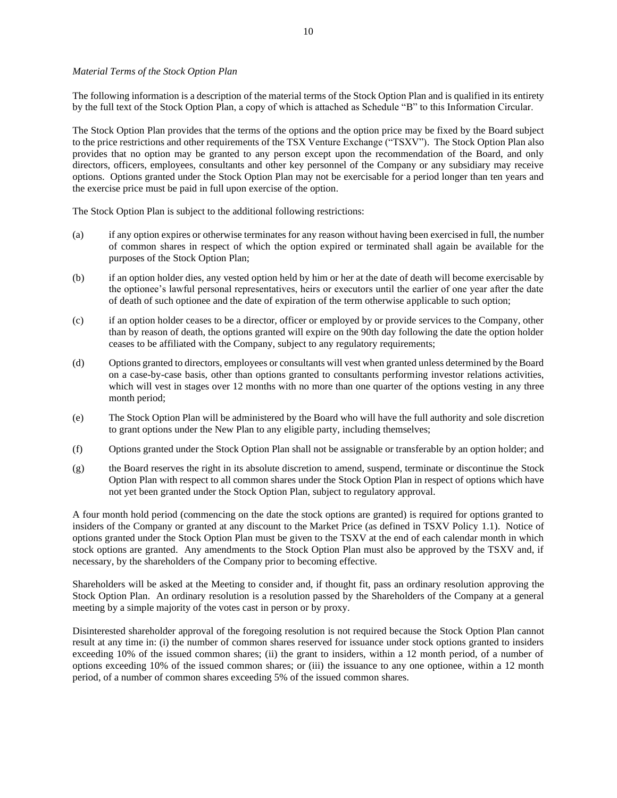#### *Material Terms of the Stock Option Plan*

The following information is a description of the material terms of the Stock Option Plan and is qualified in its entirety by the full text of the Stock Option Plan, a copy of which is attached as Schedule "B" to this Information Circular.

The Stock Option Plan provides that the terms of the options and the option price may be fixed by the Board subject to the price restrictions and other requirements of the TSX Venture Exchange ("TSXV"). The Stock Option Plan also provides that no option may be granted to any person except upon the recommendation of the Board, and only directors, officers, employees, consultants and other key personnel of the Company or any subsidiary may receive options. Options granted under the Stock Option Plan may not be exercisable for a period longer than ten years and the exercise price must be paid in full upon exercise of the option.

The Stock Option Plan is subject to the additional following restrictions:

- (a) if any option expires or otherwise terminates for any reason without having been exercised in full, the number of common shares in respect of which the option expired or terminated shall again be available for the purposes of the Stock Option Plan;
- (b) if an option holder dies, any vested option held by him or her at the date of death will become exercisable by the optionee's lawful personal representatives, heirs or executors until the earlier of one year after the date of death of such optionee and the date of expiration of the term otherwise applicable to such option;
- (c) if an option holder ceases to be a director, officer or employed by or provide services to the Company, other than by reason of death, the options granted will expire on the 90th day following the date the option holder ceases to be affiliated with the Company, subject to any regulatory requirements;
- (d) Options granted to directors, employees or consultants will vest when granted unless determined by the Board on a case-by-case basis, other than options granted to consultants performing investor relations activities, which will vest in stages over 12 months with no more than one quarter of the options vesting in any three month period;
- (e) The Stock Option Plan will be administered by the Board who will have the full authority and sole discretion to grant options under the New Plan to any eligible party, including themselves;
- (f) Options granted under the Stock Option Plan shall not be assignable or transferable by an option holder; and
- (g) the Board reserves the right in its absolute discretion to amend, suspend, terminate or discontinue the Stock Option Plan with respect to all common shares under the Stock Option Plan in respect of options which have not yet been granted under the Stock Option Plan, subject to regulatory approval.

A four month hold period (commencing on the date the stock options are granted) is required for options granted to insiders of the Company or granted at any discount to the Market Price (as defined in TSXV Policy 1.1). Notice of options granted under the Stock Option Plan must be given to the TSXV at the end of each calendar month in which stock options are granted. Any amendments to the Stock Option Plan must also be approved by the TSXV and, if necessary, by the shareholders of the Company prior to becoming effective.

Shareholders will be asked at the Meeting to consider and, if thought fit, pass an ordinary resolution approving the Stock Option Plan. An ordinary resolution is a resolution passed by the Shareholders of the Company at a general meeting by a simple majority of the votes cast in person or by proxy.

Disinterested shareholder approval of the foregoing resolution is not required because the Stock Option Plan cannot result at any time in: (i) the number of common shares reserved for issuance under stock options granted to insiders exceeding 10% of the issued common shares; (ii) the grant to insiders, within a 12 month period, of a number of options exceeding 10% of the issued common shares; or (iii) the issuance to any one optionee, within a 12 month period, of a number of common shares exceeding 5% of the issued common shares.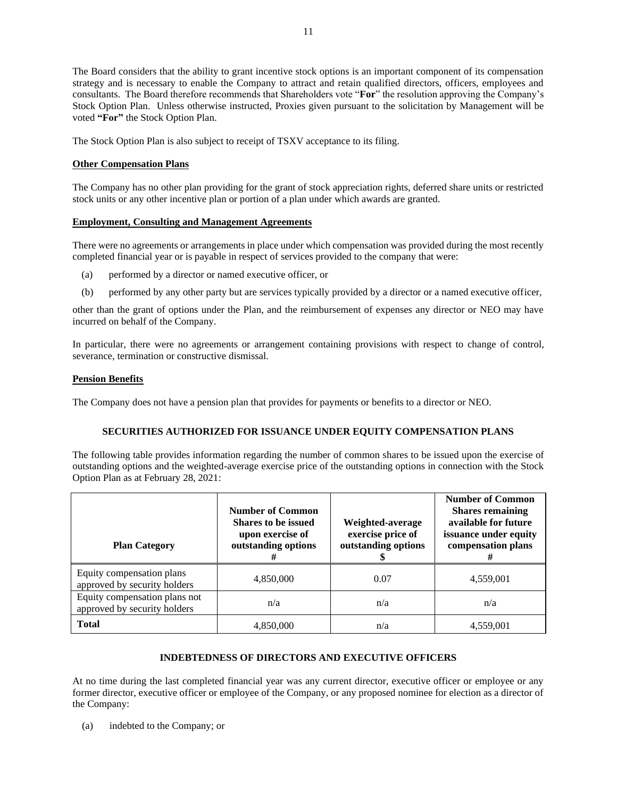The Board considers that the ability to grant incentive stock options is an important component of its compensation strategy and is necessary to enable the Company to attract and retain qualified directors, officers, employees and consultants.The Board therefore recommends that Shareholders vote "**For**" the resolution approving the Company's Stock Option Plan.Unless otherwise instructed, Proxies given pursuant to the solicitation by Management will be voted **"For"** the Stock Option Plan.

The Stock Option Plan is also subject to receipt of TSXV acceptance to its filing.

### **Other Compensation Plans**

The Company has no other plan providing for the grant of stock appreciation rights, deferred share units or restricted stock units or any other incentive plan or portion of a plan under which awards are granted.

### **Employment, Consulting and Management Agreements**

There were no agreements or arrangements in place under which compensation was provided during the most recently completed financial year or is payable in respect of services provided to the company that were:

- (a) performed by a director or named executive officer, or
- (b) performed by any other party but are services typically provided by a director or a named executive officer,

other than the grant of options under the Plan, and the reimbursement of expenses any director or NEO may have incurred on behalf of the Company.

In particular, there were no agreements or arrangement containing provisions with respect to change of control, severance, termination or constructive dismissal.

### **Pension Benefits**

The Company does not have a pension plan that provides for payments or benefits to a director or NEO.

### **SECURITIES AUTHORIZED FOR ISSUANCE UNDER EQUITY COMPENSATION PLANS**

The following table provides information regarding the number of common shares to be issued upon the exercise of outstanding options and the weighted-average exercise price of the outstanding options in connection with the Stock Option Plan as at February 28, 2021:

| <b>Plan Category</b>                                          | <b>Number of Common</b><br><b>Shares to be issued</b><br>upon exercise of<br>outstanding options | Weighted-average<br>exercise price of<br>outstanding options | <b>Number of Common</b><br><b>Shares remaining</b><br>available for future<br>issuance under equity<br>compensation plans |
|---------------------------------------------------------------|--------------------------------------------------------------------------------------------------|--------------------------------------------------------------|---------------------------------------------------------------------------------------------------------------------------|
| Equity compensation plans<br>approved by security holders     | 4,850,000                                                                                        | 0.07                                                         | 4,559,001                                                                                                                 |
| Equity compensation plans not<br>approved by security holders | n/a                                                                                              | n/a                                                          | n/a                                                                                                                       |
| <b>Total</b>                                                  | 4,850,000                                                                                        | n/a                                                          | 4,559,001                                                                                                                 |

### **INDEBTEDNESS OF DIRECTORS AND EXECUTIVE OFFICERS**

At no time during the last completed financial year was any current director, executive officer or employee or any former director, executive officer or employee of the Company, or any proposed nominee for election as a director of the Company:

(a) indebted to the Company; or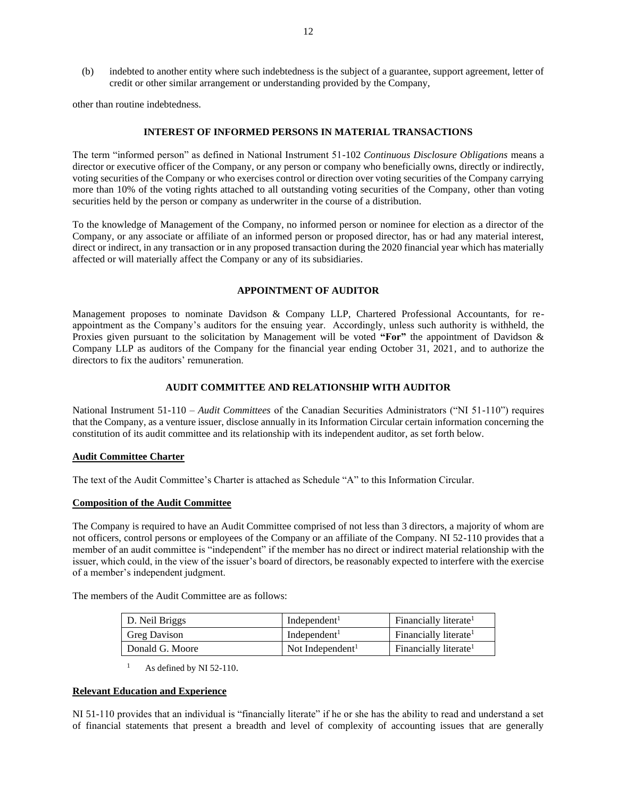(b) indebted to another entity where such indebtedness is the subject of a guarantee, support agreement, letter of credit or other similar arrangement or understanding provided by the Company,

other than routine indebtedness.

#### **INTEREST OF INFORMED PERSONS IN MATERIAL TRANSACTIONS**

The term "informed person" as defined in National Instrument 51-102 *Continuous Disclosure Obligations* means a director or executive officer of the Company, or any person or company who beneficially owns, directly or indirectly, voting securities of the Company or who exercises control or direction over voting securities of the Company carrying more than 10% of the voting rights attached to all outstanding voting securities of the Company, other than voting securities held by the person or company as underwriter in the course of a distribution.

To the knowledge of Management of the Company, no informed person or nominee for election as a director of the Company, or any associate or affiliate of an informed person or proposed director, has or had any material interest, direct or indirect, in any transaction or in any proposed transaction during the 2020 financial year which has materially affected or will materially affect the Company or any of its subsidiaries.

#### **APPOINTMENT OF AUDITOR**

Management proposes to nominate Davidson & Company LLP, Chartered Professional Accountants, for reappointment as the Company's auditors for the ensuing year. Accordingly, unless such authority is withheld, the Proxies given pursuant to the solicitation by Management will be voted **"For"** the appointment of Davidson & Company LLP as auditors of the Company for the financial year ending October 31, 2021, and to authorize the directors to fix the auditors' remuneration.

#### **AUDIT COMMITTEE AND RELATIONSHIP WITH AUDITOR**

National Instrument 51-110 – *Audit Committees* of the Canadian Securities Administrators ("NI 51-110") requires that the Company, as a venture issuer, disclose annually in its Information Circular certain information concerning the constitution of its audit committee and its relationship with its independent auditor, as set forth below.

#### **Audit Committee Charter**

The text of the Audit Committee's Charter is attached as Schedule "A" to this Information Circular.

#### **Composition of the Audit Committee**

The Company is required to have an Audit Committee comprised of not less than 3 directors, a majority of whom are not officers, control persons or employees of the Company or an affiliate of the Company. NI 52-110 provides that a member of an audit committee is "independent" if the member has no direct or indirect material relationship with the issuer, which could, in the view of the issuer's board of directors, be reasonably expected to interfere with the exercise of a member's independent judgment.

The members of the Audit Committee are as follows:

| D. Neil Briggs      | Independent <sup>1</sup>     | Financially literate <sup>1</sup> |
|---------------------|------------------------------|-----------------------------------|
| <b>Greg Davison</b> | Independent <sup>1</sup>     | Financially literate <sup>1</sup> |
| Donald G. Moore     | Not Independent <sup>1</sup> | Financially literate <sup>1</sup> |

 $1$  As defined by NI 52-110.

#### **Relevant Education and Experience**

NI 51-110 provides that an individual is "financially literate" if he or she has the ability to read and understand a set of financial statements that present a breadth and level of complexity of accounting issues that are generally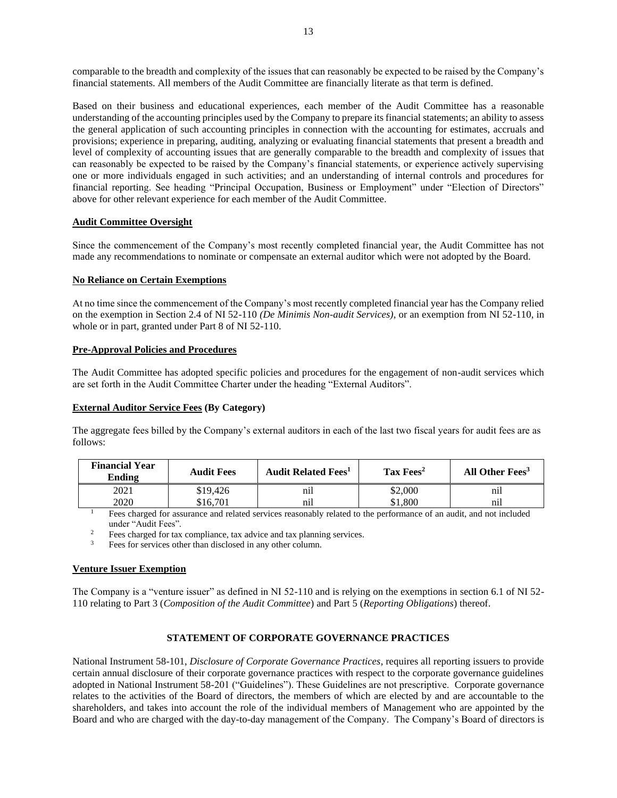comparable to the breadth and complexity of the issues that can reasonably be expected to be raised by the Company's financial statements. All members of the Audit Committee are financially literate as that term is defined.

Based on their business and educational experiences, each member of the Audit Committee has a reasonable understanding of the accounting principles used by the Company to prepare its financial statements; an ability to assess the general application of such accounting principles in connection with the accounting for estimates, accruals and provisions; experience in preparing, auditing, analyzing or evaluating financial statements that present a breadth and level of complexity of accounting issues that are generally comparable to the breadth and complexity of issues that can reasonably be expected to be raised by the Company's financial statements, or experience actively supervising one or more individuals engaged in such activities; and an understanding of internal controls and procedures for financial reporting. See heading "Principal Occupation, Business or Employment" under "Election of Directors" above for other relevant experience for each member of the Audit Committee.

### **Audit Committee Oversight**

Since the commencement of the Company's most recently completed financial year, the Audit Committee has not made any recommendations to nominate or compensate an external auditor which were not adopted by the Board.

### **No Reliance on Certain Exemptions**

At no time since the commencement of the Company's most recently completed financial year has the Company relied on the exemption in Section 2.4 of NI 52-110 *(De Minimis Non-audit Services)*, or an exemption from NI 52-110, in whole or in part, granted under Part 8 of NI 52-110.

### **Pre-Approval Policies and Procedures**

The Audit Committee has adopted specific policies and procedures for the engagement of non-audit services which are set forth in the Audit Committee Charter under the heading "External Auditors".

#### **External Auditor Service Fees (By Category)**

The aggregate fees billed by the Company's external auditors in each of the last two fiscal years for audit fees are as follows:

| <b>Financial Year</b><br>Ending | <b>Audit Fees</b> | <b>Audit Related Fees</b> <sup>1</sup> | $\rm{Tax\,Fees^2}$ | All Other Fees <sup>3</sup> |
|---------------------------------|-------------------|----------------------------------------|--------------------|-----------------------------|
| 2021                            | \$19.426          | nıl                                    | \$2,000            | nıl                         |
| 2020                            | \$16.701          | nıl                                    | .800               | nıl                         |

<sup>1</sup> Fees charged for assurance and related services reasonably related to the performance of an audit, and not included under "Audit Fees".

<sup>2</sup> Fees charged for tax compliance, tax advice and tax planning services.<br><sup>3</sup> Fees for services other than disclosed in any other column

Fees for services other than disclosed in any other column.

#### **Venture Issuer Exemption**

The Company is a "venture issuer" as defined in NI 52-110 and is relying on the exemptions in section 6.1 of NI 52- 110 relating to Part 3 (*Composition of the Audit Committee*) and Part 5 (*Reporting Obligations*) thereof.

### **STATEMENT OF CORPORATE GOVERNANCE PRACTICES**

National Instrument 58-101, *Disclosure of Corporate Governance Practices*, requires all reporting issuers to provide certain annual disclosure of their corporate governance practices with respect to the corporate governance guidelines adopted in National Instrument 58-201 ("Guidelines"). These Guidelines are not prescriptive. Corporate governance relates to the activities of the Board of directors, the members of which are elected by and are accountable to the shareholders, and takes into account the role of the individual members of Management who are appointed by the Board and who are charged with the day-to-day management of the Company. The Company's Board of directors is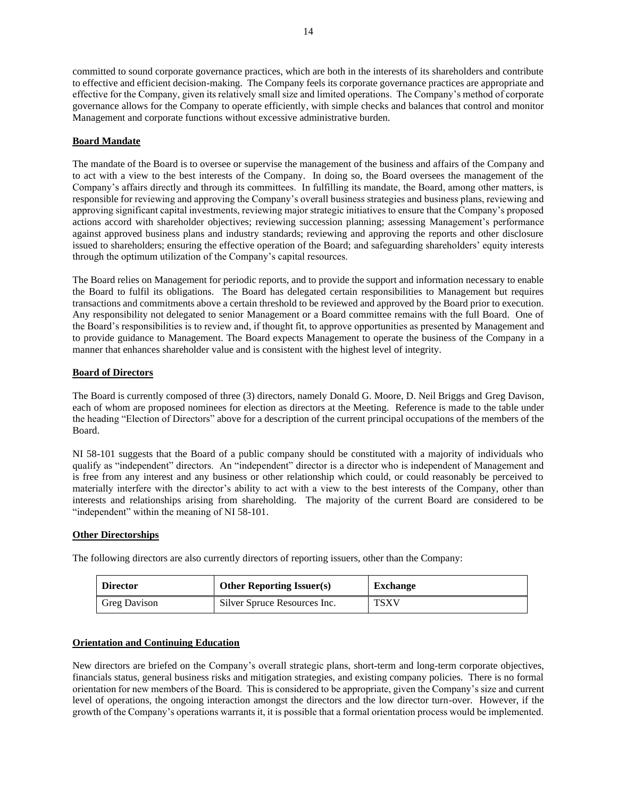committed to sound corporate governance practices, which are both in the interests of its shareholders and contribute to effective and efficient decision-making. The Company feels its corporate governance practices are appropriate and effective for the Company, given its relatively small size and limited operations. The Company's method of corporate governance allows for the Company to operate efficiently, with simple checks and balances that control and monitor Management and corporate functions without excessive administrative burden.

### **Board Mandate**

The mandate of the Board is to oversee or supervise the management of the business and affairs of the Company and to act with a view to the best interests of the Company. In doing so, the Board oversees the management of the Company's affairs directly and through its committees. In fulfilling its mandate, the Board, among other matters, is responsible for reviewing and approving the Company's overall business strategies and business plans, reviewing and approving significant capital investments, reviewing major strategic initiatives to ensure that the Company's proposed actions accord with shareholder objectives; reviewing succession planning; assessing Management's performance against approved business plans and industry standards; reviewing and approving the reports and other disclosure issued to shareholders; ensuring the effective operation of the Board; and safeguarding shareholders' equity interests through the optimum utilization of the Company's capital resources.

The Board relies on Management for periodic reports, and to provide the support and information necessary to enable the Board to fulfil its obligations. The Board has delegated certain responsibilities to Management but requires transactions and commitments above a certain threshold to be reviewed and approved by the Board prior to execution. Any responsibility not delegated to senior Management or a Board committee remains with the full Board. One of the Board's responsibilities is to review and, if thought fit, to approve opportunities as presented by Management and to provide guidance to Management. The Board expects Management to operate the business of the Company in a manner that enhances shareholder value and is consistent with the highest level of integrity.

### **Board of Directors**

The Board is currently composed of three (3) directors, namely Donald G. Moore, D. Neil Briggs and Greg Davison, each of whom are proposed nominees for election as directors at the Meeting. Reference is made to the table under the heading "Election of Directors" above for a description of the current principal occupations of the members of the Board.

NI 58-101 suggests that the Board of a public company should be constituted with a majority of individuals who qualify as "independent" directors. An "independent" director is a director who is independent of Management and is free from any interest and any business or other relationship which could, or could reasonably be perceived to materially interfere with the director's ability to act with a view to the best interests of the Company, other than interests and relationships arising from shareholding. The majority of the current Board are considered to be "independent" within the meaning of NI 58-101.

#### **Other Directorships**

The following directors are also currently directors of reporting issuers, other than the Company:

| <b>Director</b>     | <b>Other Reporting Issuer(s)</b> | <b>Exchange</b> |
|---------------------|----------------------------------|-----------------|
| <b>Greg Davison</b> | Silver Spruce Resources Inc.     | TSXV            |

#### **Orientation and Continuing Education**

New directors are briefed on the Company's overall strategic plans, short-term and long-term corporate objectives, financials status, general business risks and mitigation strategies, and existing company policies. There is no formal orientation for new members of the Board. This is considered to be appropriate, given the Company's size and current level of operations, the ongoing interaction amongst the directors and the low director turn-over. However, if the growth of the Company's operations warrants it, it is possible that a formal orientation process would be implemented.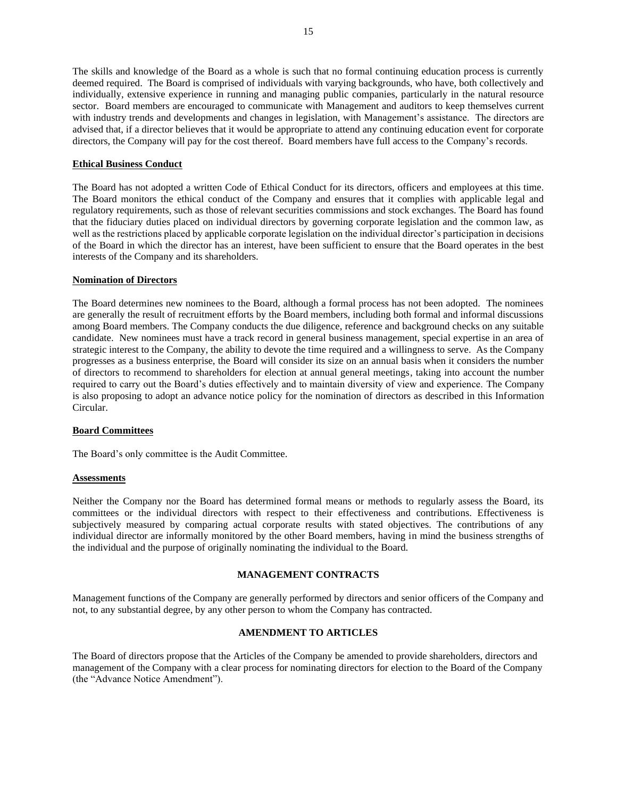The skills and knowledge of the Board as a whole is such that no formal continuing education process is currently deemed required. The Board is comprised of individuals with varying backgrounds, who have, both collectively and individually, extensive experience in running and managing public companies, particularly in the natural resource sector. Board members are encouraged to communicate with Management and auditors to keep themselves current with industry trends and developments and changes in legislation, with Management's assistance. The directors are advised that, if a director believes that it would be appropriate to attend any continuing education event for corporate directors, the Company will pay for the cost thereof. Board members have full access to the Company's records.

### **Ethical Business Conduct**

The Board has not adopted a written Code of Ethical Conduct for its directors, officers and employees at this time. The Board monitors the ethical conduct of the Company and ensures that it complies with applicable legal and regulatory requirements, such as those of relevant securities commissions and stock exchanges. The Board has found that the fiduciary duties placed on individual directors by governing corporate legislation and the common law, as well as the restrictions placed by applicable corporate legislation on the individual director's participation in decisions of the Board in which the director has an interest, have been sufficient to ensure that the Board operates in the best interests of the Company and its shareholders.

### **Nomination of Directors**

The Board determines new nominees to the Board, although a formal process has not been adopted. The nominees are generally the result of recruitment efforts by the Board members, including both formal and informal discussions among Board members. The Company conducts the due diligence, reference and background checks on any suitable candidate. New nominees must have a track record in general business management, special expertise in an area of strategic interest to the Company, the ability to devote the time required and a willingness to serve. As the Company progresses as a business enterprise, the Board will consider its size on an annual basis when it considers the number of directors to recommend to shareholders for election at annual general meetings, taking into account the number required to carry out the Board's duties effectively and to maintain diversity of view and experience. The Company is also proposing to adopt an advance notice policy for the nomination of directors as described in this Information Circular.

#### **Board Committees**

The Board's only committee is the Audit Committee.

#### **Assessments**

Neither the Company nor the Board has determined formal means or methods to regularly assess the Board, its committees or the individual directors with respect to their effectiveness and contributions. Effectiveness is subjectively measured by comparing actual corporate results with stated objectives. The contributions of any individual director are informally monitored by the other Board members, having in mind the business strengths of the individual and the purpose of originally nominating the individual to the Board.

#### **MANAGEMENT CONTRACTS**

Management functions of the Company are generally performed by directors and senior officers of the Company and not, to any substantial degree, by any other person to whom the Company has contracted.

### **AMENDMENT TO ARTICLES**

The Board of directors propose that the Articles of the Company be amended to provide shareholders, directors and management of the Company with a clear process for nominating directors for election to the Board of the Company (the "Advance Notice Amendment").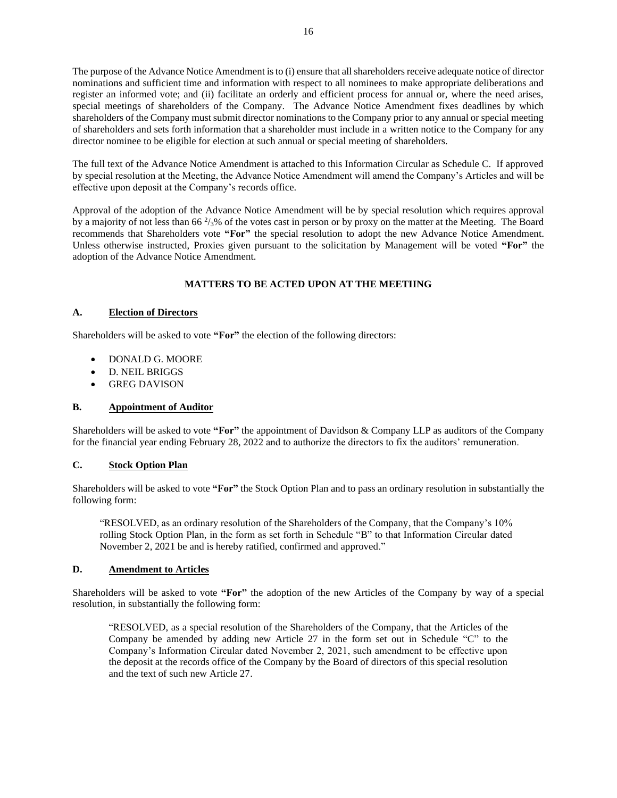The purpose of the Advance Notice Amendment is to (i) ensure that all shareholders receive adequate notice of director nominations and sufficient time and information with respect to all nominees to make appropriate deliberations and register an informed vote; and (ii) facilitate an orderly and efficient process for annual or, where the need arises, special meetings of shareholders of the Company. The Advance Notice Amendment fixes deadlines by which shareholders of the Company must submit director nominations to the Company prior to any annual or special meeting of shareholders and sets forth information that a shareholder must include in a written notice to the Company for any director nominee to be eligible for election at such annual or special meeting of shareholders.

The full text of the Advance Notice Amendment is attached to this Information Circular as Schedule C. If approved by special resolution at the Meeting, the Advance Notice Amendment will amend the Company's Articles and will be effective upon deposit at the Company's records office.

Approval of the adoption of the Advance Notice Amendment will be by special resolution which requires approval by a majority of not less than 66<sup> $2/3$ %</sup> of the votes cast in person or by proxy on the matter at the Meeting. The Board recommends that Shareholders vote **"For"** the special resolution to adopt the new Advance Notice Amendment. Unless otherwise instructed, Proxies given pursuant to the solicitation by Management will be voted **"For"** the adoption of the Advance Notice Amendment.

### **MATTERS TO BE ACTED UPON AT THE MEETIING**

### **A. Election of Directors**

Shareholders will be asked to vote **"For"** the election of the following directors:

- DONALD G. MOORE
- D. NEIL BRIGGS
- GREG DAVISON

### **B. Appointment of Auditor**

Shareholders will be asked to vote **"For"** the appointment of Davidson & Company LLP as auditors of the Company for the financial year ending February 28, 2022 and to authorize the directors to fix the auditors' remuneration.

### **C. Stock Option Plan**

Shareholders will be asked to vote **"For"** the Stock Option Plan and to pass an ordinary resolution in substantially the following form:

"RESOLVED, as an ordinary resolution of the Shareholders of the Company, that the Company's 10% rolling Stock Option Plan, in the form as set forth in Schedule "B" to that Information Circular dated November 2, 2021 be and is hereby ratified, confirmed and approved."

### **D. Amendment to Articles**

Shareholders will be asked to vote **"For"** the adoption of the new Articles of the Company by way of a special resolution, in substantially the following form:

"RESOLVED, as a special resolution of the Shareholders of the Company, that the Articles of the Company be amended by adding new Article 27 in the form set out in Schedule "C" to the Company's Information Circular dated November 2, 2021, such amendment to be effective upon the deposit at the records office of the Company by the Board of directors of this special resolution and the text of such new Article 27.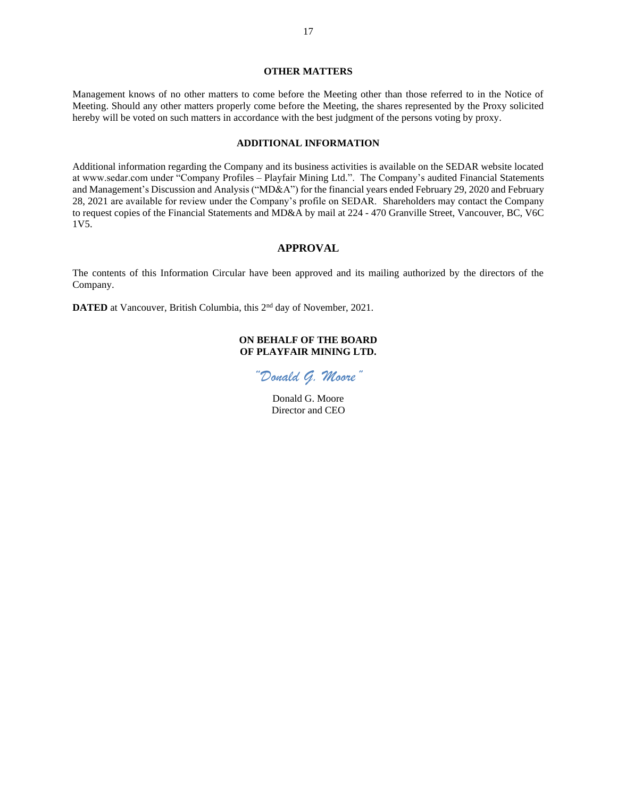#### **OTHER MATTERS**

Management knows of no other matters to come before the Meeting other than those referred to in the Notice of Meeting. Should any other matters properly come before the Meeting, the shares represented by the Proxy solicited hereby will be voted on such matters in accordance with the best judgment of the persons voting by proxy.

### **ADDITIONAL INFORMATION**

Additional information regarding the Company and its business activities is available on the SEDAR website located at www.sedar.com under "Company Profiles – Playfair Mining Ltd.". The Company's audited Financial Statements and Management's Discussion and Analysis ("MD&A") for the financial years ended February 29, 2020 and February 28, 2021 are available for review under the Company's profile on SEDAR. Shareholders may contact the Company to request copies of the Financial Statements and MD&A by mail at 224 - 470 Granville Street, Vancouver, BC, V6C 1V5.

#### **APPROVAL**

The contents of this Information Circular have been approved and its mailing authorized by the directors of the Company.

**DATED** at Vancouver, British Columbia, this 2<sup>nd</sup> day of November, 2021.

### **ON BEHALF OF THE BOARD OF PLAYFAIR MINING LTD.**

*"Donald G. Moore"*

Donald G. Moore Director and CEO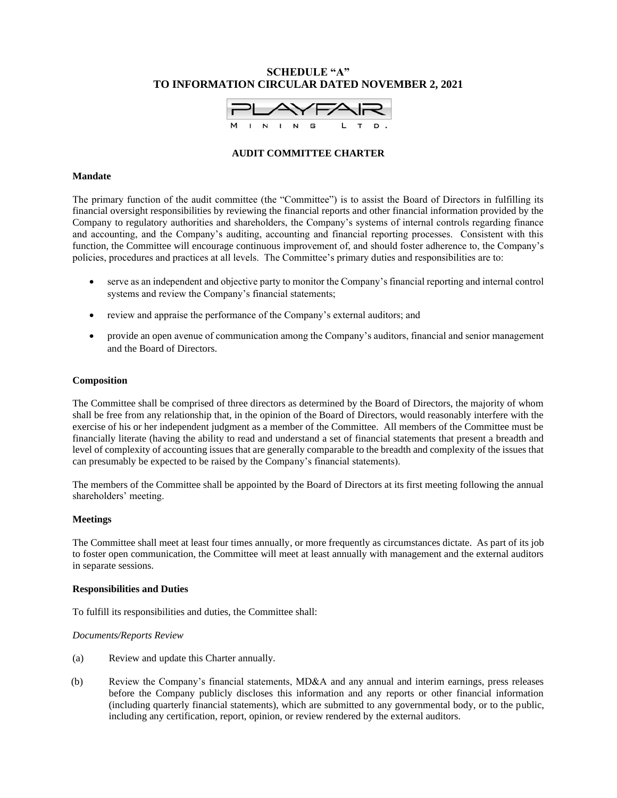# **SCHEDULE "A" TO INFORMATION CIRCULAR DATED NOVEMBER 2, 2021**



### **AUDIT COMMITTEE CHARTER**

#### **Mandate**

The primary function of the audit committee (the "Committee") is to assist the Board of Directors in fulfilling its financial oversight responsibilities by reviewing the financial reports and other financial information provided by the Company to regulatory authorities and shareholders, the Company's systems of internal controls regarding finance and accounting, and the Company's auditing, accounting and financial reporting processes. Consistent with this function, the Committee will encourage continuous improvement of, and should foster adherence to, the Company's policies, procedures and practices at all levels. The Committee's primary duties and responsibilities are to:

- serve as an independent and objective party to monitor the Company's financial reporting and internal control systems and review the Company's financial statements;
- review and appraise the performance of the Company's external auditors; and
- provide an open avenue of communication among the Company's auditors, financial and senior management and the Board of Directors.

#### **Composition**

The Committee shall be comprised of three directors as determined by the Board of Directors, the majority of whom shall be free from any relationship that, in the opinion of the Board of Directors, would reasonably interfere with the exercise of his or her independent judgment as a member of the Committee. All members of the Committee must be financially literate (having the ability to read and understand a set of financial statements that present a breadth and level of complexity of accounting issues that are generally comparable to the breadth and complexity of the issues that can presumably be expected to be raised by the Company's financial statements).

The members of the Committee shall be appointed by the Board of Directors at its first meeting following the annual shareholders' meeting.

#### **Meetings**

The Committee shall meet at least four times annually*,* or more frequently as circumstances dictate. As part of its job to foster open communication, the Committee will meet at least annually with management and the external auditors in separate sessions.

#### **Responsibilities and Duties**

To fulfill its responsibilities and duties, the Committee shall:

#### *Documents/Reports Review*

- (a) Review and update this Charter annually.
- (b) Review the Company's financial statements, MD&A and any annual and interim earnings, press releases before the Company publicly discloses this information and any reports or other financial information (including quarterly financial statements), which are submitted to any governmental body, or to the public, including any certification, report, opinion, or review rendered by the external auditors.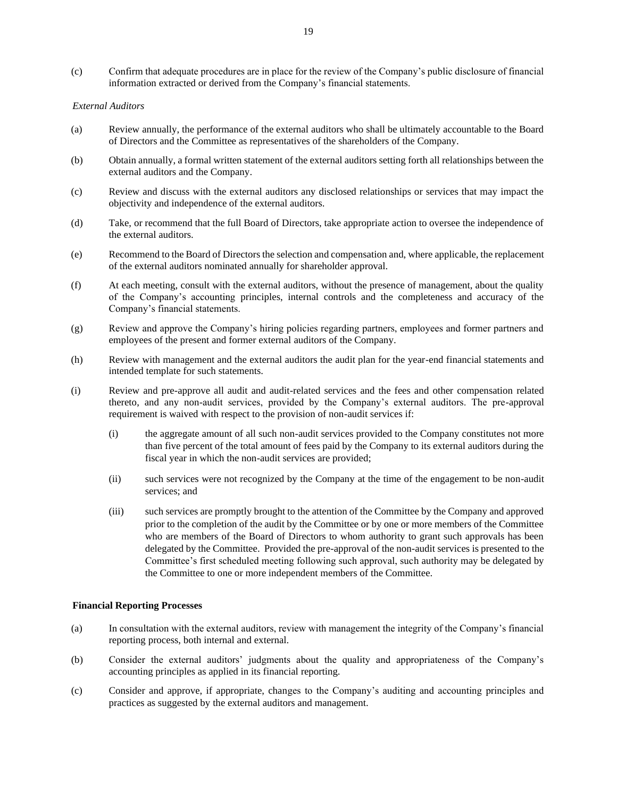(c) Confirm that adequate procedures are in place for the review of the Company's public disclosure of financial information extracted or derived from the Company's financial statements.

#### *External Auditors*

- (a) Review annually, the performance of the external auditors who shall be ultimately accountable to the Board of Directors and the Committee as representatives of the shareholders of the Company.
- (b) Obtain annually, a formal written statement of the external auditors setting forth all relationships between the external auditors and the Company.
- (c) Review and discuss with the external auditors any disclosed relationships or services that may impact the objectivity and independence of the external auditors.
- (d) Take, or recommend that the full Board of Directors, take appropriate action to oversee the independence of the external auditors.
- (e) Recommend to the Board of Directors the selection and compensation and, where applicable, the replacement of the external auditors nominated annually for shareholder approval.
- (f) At each meeting, consult with the external auditors, without the presence of management, about the quality of the Company's accounting principles, internal controls and the completeness and accuracy of the Company's financial statements.
- (g) Review and approve the Company's hiring policies regarding partners, employees and former partners and employees of the present and former external auditors of the Company.
- (h) Review with management and the external auditors the audit plan for the year-end financial statements and intended template for such statements.
- (i) Review and pre-approve all audit and audit-related services and the fees and other compensation related thereto, and any non-audit services, provided by the Company's external auditors. The pre-approval requirement is waived with respect to the provision of non-audit services if:
	- (i) the aggregate amount of all such non-audit services provided to the Company constitutes not more than five percent of the total amount of fees paid by the Company to its external auditors during the fiscal year in which the non-audit services are provided;
	- (ii) such services were not recognized by the Company at the time of the engagement to be non-audit services; and
	- (iii) such services are promptly brought to the attention of the Committee by the Company and approved prior to the completion of the audit by the Committee or by one or more members of the Committee who are members of the Board of Directors to whom authority to grant such approvals has been delegated by the Committee. Provided the pre-approval of the non-audit services is presented to the Committee's first scheduled meeting following such approval, such authority may be delegated by the Committee to one or more independent members of the Committee.

#### **Financial Reporting Processes**

- (a) In consultation with the external auditors, review with management the integrity of the Company's financial reporting process, both internal and external.
- (b) Consider the external auditors' judgments about the quality and appropriateness of the Company's accounting principles as applied in its financial reporting.
- (c) Consider and approve, if appropriate, changes to the Company's auditing and accounting principles and practices as suggested by the external auditors and management.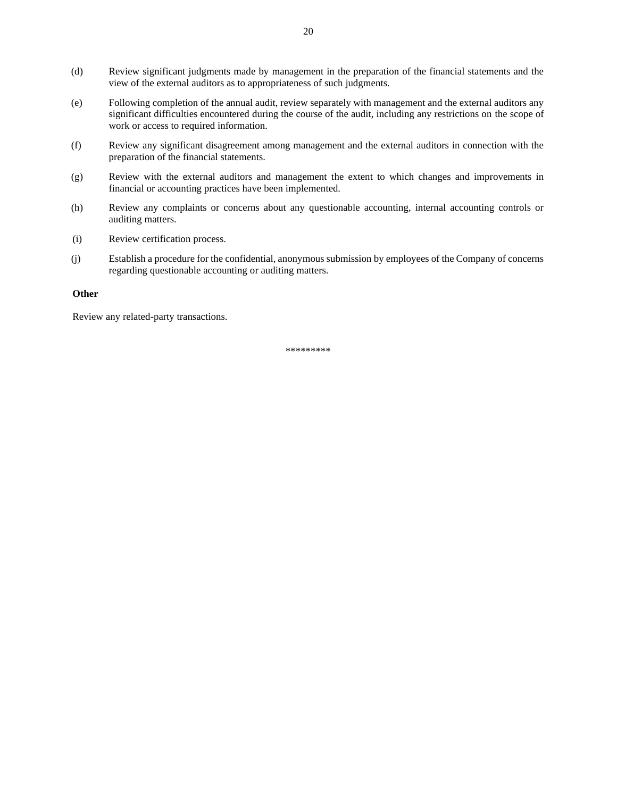- (d) Review significant judgments made by management in the preparation of the financial statements and the view of the external auditors as to appropriateness of such judgments.
- (e) Following completion of the annual audit, review separately with management and the external auditors any significant difficulties encountered during the course of the audit, including any restrictions on the scope of work or access to required information.
- (f) Review any significant disagreement among management and the external auditors in connection with the preparation of the financial statements.
- (g) Review with the external auditors and management the extent to which changes and improvements in financial or accounting practices have been implemented.
- (h) Review any complaints or concerns about any questionable accounting, internal accounting controls or auditing matters.
- (i) Review certification process.
- (j) Establish a procedure for the confidential, anonymous submission by employees of the Company of concerns regarding questionable accounting or auditing matters.

### **Other**

Review any related-party transactions.

\*\*\*\*\*\*\*\*\*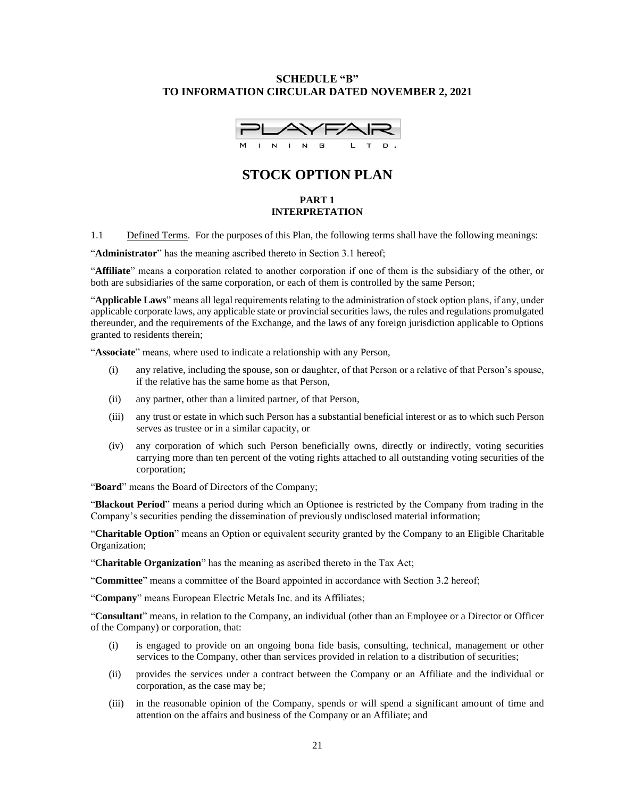### **SCHEDULE "B" TO INFORMATION CIRCULAR DATED NOVEMBER 2, 2021**



# **STOCK OPTION PLAN**

### **PART 1 INTERPRETATION**

1.1 Defined Terms. For the purposes of this Plan, the following terms shall have the following meanings:

"**Administrator**" has the meaning ascribed thereto in Section 3.1 hereof;

"**Affiliate**" means a corporation related to another corporation if one of them is the subsidiary of the other, or both are subsidiaries of the same corporation, or each of them is controlled by the same Person;

"**Applicable Laws**" means all legal requirements relating to the administration of stock option plans, if any, under applicable corporate laws, any applicable state or provincial securities laws, the rules and regulations promulgated thereunder, and the requirements of the Exchange, and the laws of any foreign jurisdiction applicable to Options granted to residents therein;

"**Associate**" means, where used to indicate a relationship with any Person,

- (i) any relative, including the spouse, son or daughter, of that Person or a relative of that Person's spouse, if the relative has the same home as that Person,
- (ii) any partner, other than a limited partner, of that Person,
- (iii) any trust or estate in which such Person has a substantial beneficial interest or as to which such Person serves as trustee or in a similar capacity, or
- (iv) any corporation of which such Person beneficially owns, directly or indirectly, voting securities carrying more than ten percent of the voting rights attached to all outstanding voting securities of the corporation;

"**Board**" means the Board of Directors of the Company;

"**Blackout Period**" means a period during which an Optionee is restricted by the Company from trading in the Company's securities pending the dissemination of previously undisclosed material information;

"**Charitable Option**" means an Option or equivalent security granted by the Company to an Eligible Charitable Organization;

"**Charitable Organization**" has the meaning as ascribed thereto in the Tax Act;

"**Committee**" means a committee of the Board appointed in accordance with Section 3.2 hereof;

"**Company**" means European Electric Metals Inc. and its Affiliates;

"**Consultant**" means, in relation to the Company, an individual (other than an Employee or a Director or Officer of the Company) or corporation, that:

- (i) is engaged to provide on an ongoing bona fide basis, consulting, technical, management or other services to the Company, other than services provided in relation to a distribution of securities;
- (ii) provides the services under a contract between the Company or an Affiliate and the individual or corporation, as the case may be;
- (iii) in the reasonable opinion of the Company, spends or will spend a significant amount of time and attention on the affairs and business of the Company or an Affiliate; and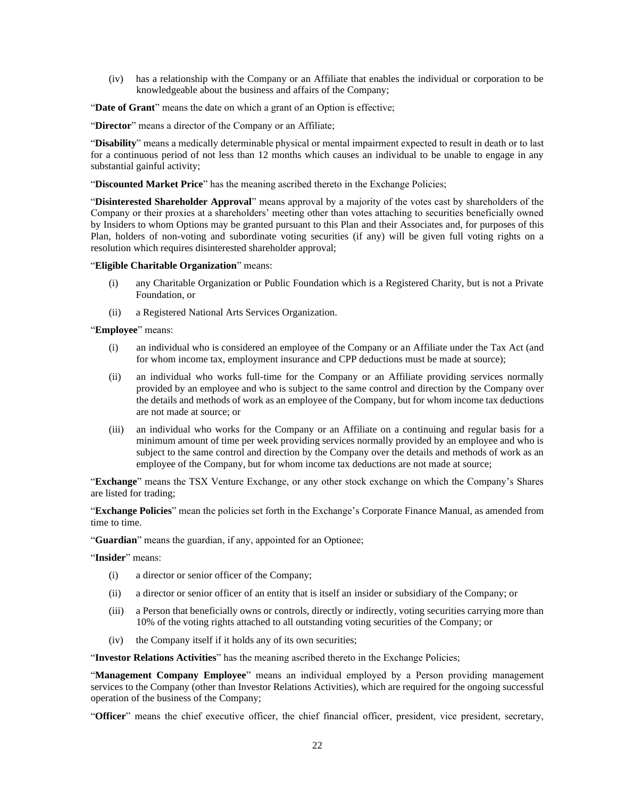(iv) has a relationship with the Company or an Affiliate that enables the individual or corporation to be knowledgeable about the business and affairs of the Company;

"**Date of Grant**" means the date on which a grant of an Option is effective;

"**Director**" means a director of the Company or an Affiliate;

"**Disability**" means a medically determinable physical or mental impairment expected to result in death or to last for a continuous period of not less than 12 months which causes an individual to be unable to engage in any substantial gainful activity;

"**Discounted Market Price**" has the meaning ascribed thereto in the Exchange Policies;

"**Disinterested Shareholder Approval**" means approval by a majority of the votes cast by shareholders of the Company or their proxies at a shareholders' meeting other than votes attaching to securities beneficially owned by Insiders to whom Options may be granted pursuant to this Plan and their Associates and, for purposes of this Plan, holders of non-voting and subordinate voting securities (if any) will be given full voting rights on a resolution which requires disinterested shareholder approval;

"**Eligible Charitable Organization**" means:

- (i) any Charitable Organization or Public Foundation which is a Registered Charity, but is not a Private Foundation, or
- (ii) a Registered National Arts Services Organization.

"**Employee**" means:

- (i) an individual who is considered an employee of the Company or an Affiliate under the Tax Act (and for whom income tax, employment insurance and CPP deductions must be made at source);
- (ii) an individual who works full-time for the Company or an Affiliate providing services normally provided by an employee and who is subject to the same control and direction by the Company over the details and methods of work as an employee of the Company, but for whom income tax deductions are not made at source; or
- (iii) an individual who works for the Company or an Affiliate on a continuing and regular basis for a minimum amount of time per week providing services normally provided by an employee and who is subject to the same control and direction by the Company over the details and methods of work as an employee of the Company, but for whom income tax deductions are not made at source;

"**Exchange**" means the TSX Venture Exchange, or any other stock exchange on which the Company's Shares are listed for trading;

"**Exchange Policies**" mean the policies set forth in the Exchange's Corporate Finance Manual, as amended from time to time.

"**Guardian**" means the guardian, if any, appointed for an Optionee;

"**Insider**" means:

- (i) a director or senior officer of the Company;
- (ii) a director or senior officer of an entity that is itself an insider or subsidiary of the Company; or
- (iii) a Person that beneficially owns or controls, directly or indirectly, voting securities carrying more than 10% of the voting rights attached to all outstanding voting securities of the Company; or
- (iv) the Company itself if it holds any of its own securities;

"**Investor Relations Activities**" has the meaning ascribed thereto in the Exchange Policies;

"**Management Company Employee**" means an individual employed by a Person providing management services to the Company (other than Investor Relations Activities), which are required for the ongoing successful operation of the business of the Company;

"**Officer**" means the chief executive officer, the chief financial officer, president, vice president, secretary,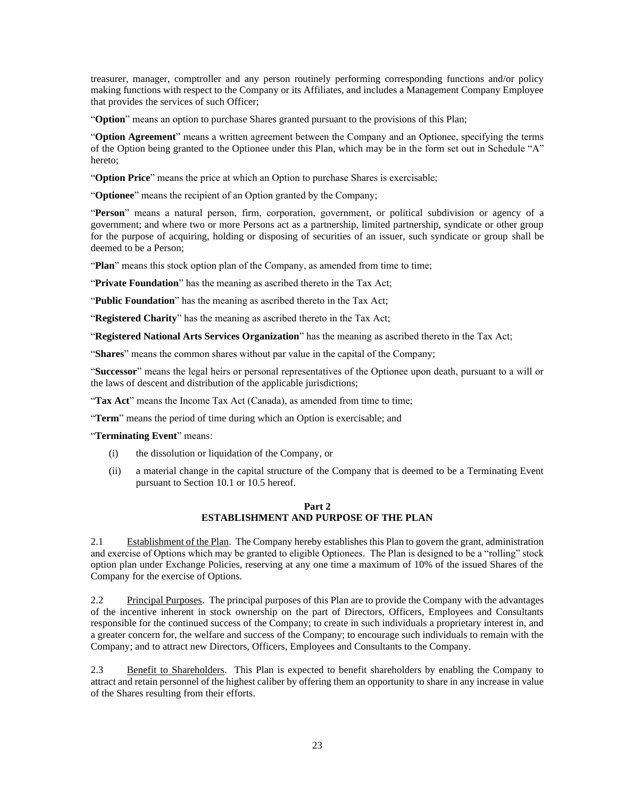treasurer, manager, comptroller and any person routinely performing corresponding functions and/or policy making functions with respect to the Company or its Affiliates, and includes a Management Company Employee that provides the services of such Officer;

"**Option**" means an option to purchase Shares granted pursuant to the provisions of this Plan;

"**Option Agreement**" means a written agreement between the Company and an Optionee, specifying the terms of the Option being granted to the Optionee under this Plan, which may be in the form set out in Schedule "A" hereto;

"**Option Price**" means the price at which an Option to purchase Shares is exercisable;

"**Optionee**" means the recipient of an Option granted by the Company;

"**Person**" means a natural person, firm, corporation, government, or political subdivision or agency of a government; and where two or more Persons act as a partnership, limited partnership, syndicate or other group for the purpose of acquiring, holding or disposing of securities of an issuer, such syndicate or group shall be deemed to be a Person;

"Plan" means this stock option plan of the Company, as amended from time to time;

"**Private Foundation**" has the meaning as ascribed thereto in the Tax Act;

"**Public Foundation**" has the meaning as ascribed thereto in the Tax Act;

"**Registered Charity**" has the meaning as ascribed thereto in the Tax Act;

"**Registered National Arts Services Organization**" has the meaning as ascribed thereto in the Tax Act;

"**Shares**" means the common shares without par value in the capital of the Company;

"**Successor**" means the legal heirs or personal representatives of the Optionee upon death, pursuant to a will or the laws of descent and distribution of the applicable jurisdictions;

"Tax Act" means the Income Tax Act (Canada), as amended from time to time;

"**Term**" means the period of time during which an Option is exercisable; and

"**Terminating Event**" means:

- (i) the dissolution or liquidation of the Company, or
- (ii) a material change in the capital structure of the Company that is deemed to be a Terminating Event pursuant to Sectio[n 10.1](#page-28-0) o[r 10.5](#page-29-0) hereof.

### **Part 2 ESTABLISHMENT AND PURPOSE OF THE PLAN**

2.1 Establishment of the Plan. The Company hereby establishes this Plan to govern the grant, administration and exercise of Options which may be granted to eligible Optionees. The Plan is designed to be a "rolling" stock option plan under Exchange Policies, reserving at any one time a maximum of 10% of the issued Shares of the Company for the exercise of Options.

2.2 Principal Purposes. The principal purposes of this Plan are to provide the Company with the advantages of the incentive inherent in stock ownership on the part of Directors, Officers, Employees and Consultants responsible for the continued success of the Company; to create in such individuals a proprietary interest in, and a greater concern for, the welfare and success of the Company; to encourage such individuals to remain with the Company; and to attract new Directors, Officers, Employees and Consultants to the Company.

2.3 Benefit to Shareholders. This Plan is expected to benefit shareholders by enabling the Company to attract and retain personnel of the highest caliber by offering them an opportunity to share in any increase in value of the Shares resulting from their efforts.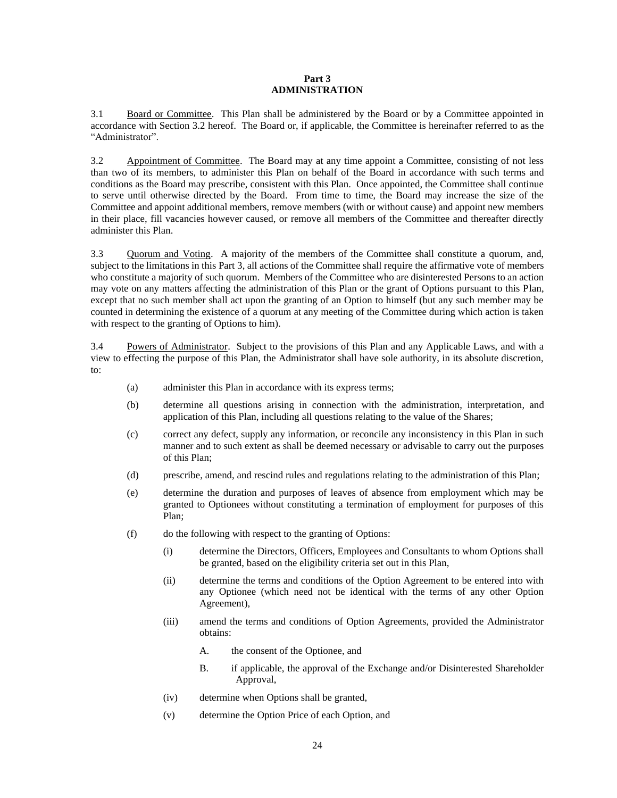### **Part 3 ADMINISTRATION**

<span id="page-23-1"></span>3.1 Board or Committee. This Plan shall be administered by the Board or by a Committee appointed in accordance with Section [3.2](#page-23-0) hereof. The Board or, if applicable, the Committee is hereinafter referred to as the "Administrator".

<span id="page-23-0"></span>3.2 Appointment of Committee. The Board may at any time appoint a Committee, consisting of not less than two of its members, to administer this Plan on behalf of the Board in accordance with such terms and conditions as the Board may prescribe, consistent with this Plan. Once appointed, the Committee shall continue to serve until otherwise directed by the Board. From time to time, the Board may increase the size of the Committee and appoint additional members, remove members (with or without cause) and appoint new members in their place, fill vacancies however caused, or remove all members of the Committee and thereafter directly administer this Plan.

3.3 Quorum and Voting. A majority of the members of the Committee shall constitute a quorum, and, subject to the limitations in this [Part](#page-23-1) 3, all actions of the Committee shall require the affirmative vote of members who constitute a majority of such quorum. Members of the Committee who are disinterested Persons to an action may vote on any matters affecting the administration of this Plan or the grant of Options pursuant to this Plan, except that no such member shall act upon the granting of an Option to himself (but any such member may be counted in determining the existence of a quorum at any meeting of the Committee during which action is taken with respect to the granting of Options to him).

3.4 Powers of Administrator. Subject to the provisions of this Plan and any Applicable Laws, and with a view to effecting the purpose of this Plan, the Administrator shall have sole authority, in its absolute discretion, to:

- (a) administer this Plan in accordance with its express terms;
- (b) determine all questions arising in connection with the administration, interpretation, and application of this Plan, including all questions relating to the value of the Shares;
- (c) correct any defect, supply any information, or reconcile any inconsistency in this Plan in such manner and to such extent as shall be deemed necessary or advisable to carry out the purposes of this Plan;
- (d) prescribe, amend, and rescind rules and regulations relating to the administration of this Plan;
- (e) determine the duration and purposes of leaves of absence from employment which may be granted to Optionees without constituting a termination of employment for purposes of this Plan;
- (f) do the following with respect to the granting of Options:
	- (i) determine the Directors, Officers, Employees and Consultants to whom Options shall be granted, based on the eligibility criteria set out in this Plan,
	- (ii) determine the terms and conditions of the Option Agreement to be entered into with any Optionee (which need not be identical with the terms of any other Option Agreement),
	- (iii) amend the terms and conditions of Option Agreements, provided the Administrator obtains:
		- A. the consent of the Optionee, and
		- B. if applicable, the approval of the Exchange and/or Disinterested Shareholder Approval,
	- (iv) determine when Options shall be granted,
	- (v) determine the Option Price of each Option, and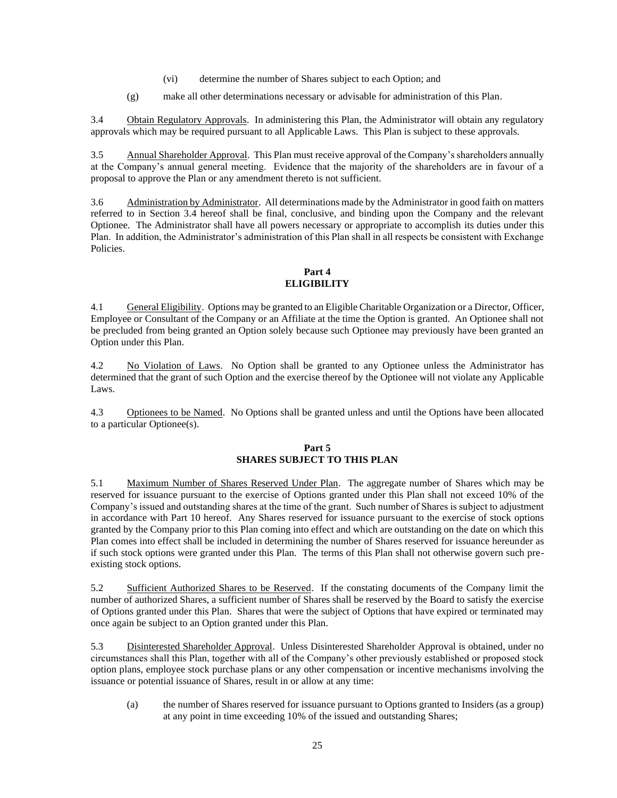- (vi) determine the number of Shares subject to each Option; and
- (g) make all other determinations necessary or advisable for administration of this Plan.

3.4 Obtain Regulatory Approvals. In administering this Plan, the Administrator will obtain any regulatory approvals which may be required pursuant to all Applicable Laws. This Plan is subject to these approvals.

3.5 Annual Shareholder Approval. This Plan must receive approval of the Company's shareholders annually at the Company's annual general meeting. Evidence that the majority of the shareholders are in favour of a proposal to approve the Plan or any amendment thereto is not sufficient.

3.6 Administration by Administrator. All determinations made by the Administrator in good faith on matters referred to in Section 3.4 hereof shall be final, conclusive, and binding upon the Company and the relevant Optionee. The Administrator shall have all powers necessary or appropriate to accomplish its duties under this Plan. In addition, the Administrator's administration of this Plan shall in all respects be consistent with Exchange Policies.

### **Part 4 ELIGIBILITY**

4.1 General Eligibility. Options may be granted to an Eligible Charitable Organization or a Director, Officer, Employee or Consultant of the Company or an Affiliate at the time the Option is granted. An Optionee shall not be precluded from being granted an Option solely because such Optionee may previously have been granted an Option under this Plan.

4.2 No Violation of Laws. No Option shall be granted to any Optionee unless the Administrator has determined that the grant of such Option and the exercise thereof by the Optionee will not violate any Applicable Laws.

4.3 Optionees to be Named. No Options shall be granted unless and until the Options have been allocated to a particular Optionee(s).

# **Part 5 SHARES SUBJECT TO THIS PLAN**

5.1 Maximum Number of Shares Reserved Under Plan. The aggregate number of Shares which may be reserved for issuance pursuant to the exercise of Options granted under this Plan shall not exceed 10% of the Company's issued and outstanding shares at the time of the grant. Such number of Shares is subject to adjustment in accordance with Part 10 hereof. Any Shares reserved for issuance pursuant to the exercise of stock options granted by the Company prior to this Plan coming into effect and which are outstanding on the date on which this Plan comes into effect shall be included in determining the number of Shares reserved for issuance hereunder as if such stock options were granted under this Plan. The terms of this Plan shall not otherwise govern such preexisting stock options.

5.2 Sufficient Authorized Shares to be Reserved. If the constating documents of the Company limit the number of authorized Shares, a sufficient number of Shares shall be reserved by the Board to satisfy the exercise of Options granted under this Plan. Shares that were the subject of Options that have expired or terminated may once again be subject to an Option granted under this Plan.

5.3 Disinterested Shareholder Approval. Unless Disinterested Shareholder Approval is obtained, under no circumstances shall this Plan, together with all of the Company's other previously established or proposed stock option plans, employee stock purchase plans or any other compensation or incentive mechanisms involving the issuance or potential issuance of Shares, result in or allow at any time:

(a) the number of Shares reserved for issuance pursuant to Options granted to Insiders (as a group) at any point in time exceeding 10% of the issued and outstanding Shares;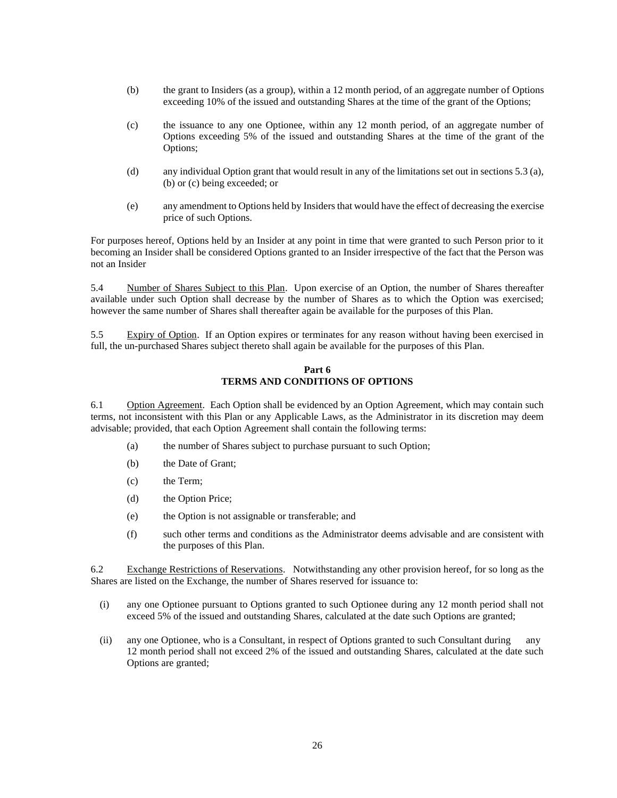- (b) the grant to Insiders (as a group), within a 12 month period, of an aggregate number of Options exceeding 10% of the issued and outstanding Shares at the time of the grant of the Options;
- (c) the issuance to any one Optionee, within any 12 month period, of an aggregate number of Options exceeding 5% of the issued and outstanding Shares at the time of the grant of the Options;
- (d) any individual Option grant that would result in any of the limitations set out in sections 5.3 (a), (b) or (c) being exceeded; or
- (e) any amendment to Options held by Insiders that would have the effect of decreasing the exercise price of such Options.

For purposes hereof, Options held by an Insider at any point in time that were granted to such Person prior to it becoming an Insider shall be considered Options granted to an Insider irrespective of the fact that the Person was not an Insider

5.4 Number of Shares Subject to this Plan. Upon exercise of an Option, the number of Shares thereafter available under such Option shall decrease by the number of Shares as to which the Option was exercised; however the same number of Shares shall thereafter again be available for the purposes of this Plan.

<span id="page-25-0"></span>5.5 Expiry of Option. If an Option expires or terminates for any reason without having been exercised in full, the un-purchased Shares subject thereto shall again be available for the purposes of this Plan.

### **Part 6 TERMS AND CONDITIONS OF OPTIONS**

6.1 Option Agreement. Each Option shall be evidenced by an Option Agreement, which may contain such terms, not inconsistent with this Plan or any Applicable Laws, as the Administrator in its discretion may deem advisable; provided, that each Option Agreement shall contain the following terms:

- (a) the number of Shares subject to purchase pursuant to such Option;
- (b) the Date of Grant;
- (c) the Term;
- (d) the Option Price;
- (e) the Option is not assignable or transferable; and
- (f) such other terms and conditions as the Administrator deems advisable and are consistent with the purposes of this Plan.

6.2 Exchange Restrictions of Reservations. Notwithstanding any other provision hereof, for so long as the Shares are listed on the Exchange, the number of Shares reserved for issuance to:

- (i) any one Optionee pursuant to Options granted to such Optionee during any 12 month period shall not exceed 5% of the issued and outstanding Shares, calculated at the date such Options are granted;
- (ii) any one Optionee, who is a Consultant, in respect of Options granted to such Consultant during any 12 month period shall not exceed 2% of the issued and outstanding Shares, calculated at the date such Options are granted;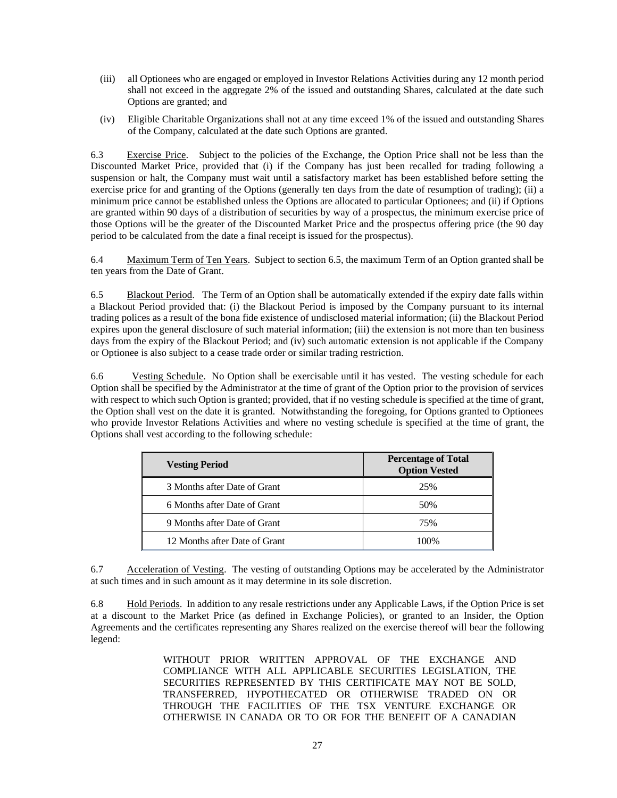- (iii) all Optionees who are engaged or employed in Investor Relations Activities during any 12 month period shall not exceed in the aggregate 2% of the issued and outstanding Shares, calculated at the date such Options are granted; and
- (iv) Eligible Charitable Organizations shall not at any time exceed 1% of the issued and outstanding Shares of the Company, calculated at the date such Options are granted.

6.3 Exercise Price. Subject to the policies of the Exchange, the Option Price shall not be less than the Discounted Market Price, provided that (i) if the Company has just been recalled for trading following a suspension or halt, the Company must wait until a satisfactory market has been established before setting the exercise price for and granting of the Options (generally ten days from the date of resumption of trading); (ii) a minimum price cannot be established unless the Options are allocated to particular Optionees; and (ii) if Options are granted within 90 days of a distribution of securities by way of a prospectus, the minimum exercise price of those Options will be the greater of the Discounted Market Price and the prospectus offering price (the 90 day period to be calculated from the date a final receipt is issued for the prospectus).

6.4 Maximum Term of Ten Years. Subject to section 6.5, the maximum Term of an Option granted shall be ten years from the Date of Grant.

6.5 Blackout Period. The Term of an Option shall be automatically extended if the expiry date falls within a Blackout Period provided that: (i) the Blackout Period is imposed by the Company pursuant to its internal trading polices as a result of the bona fide existence of undisclosed material information; (ii) the Blackout Period expires upon the general disclosure of such material information; (iii) the extension is not more than ten business days from the expiry of the Blackout Period; and (iv) such automatic extension is not applicable if the Company or Optionee is also subject to a cease trade order or similar trading restriction.

6.6 Vesting Schedule. No Option shall be exercisable until it has vested. The vesting schedule for each Option shall be specified by the Administrator at the time of grant of the Option prior to the provision of services with respect to which such Option is granted; provided, that if no vesting schedule is specified at the time of grant, the Option shall vest on the date it is granted. Notwithstanding the foregoing, for Options granted to Optionees who provide Investor Relations Activities and where no vesting schedule is specified at the time of grant, the Options shall vest according to the following schedule:

| <b>Vesting Period</b>         | <b>Percentage of Total</b><br><b>Option Vested</b> |
|-------------------------------|----------------------------------------------------|
| 3 Months after Date of Grant  | 25%                                                |
| 6 Months after Date of Grant  | 50%                                                |
| 9 Months after Date of Grant  | 75%                                                |
| 12 Months after Date of Grant | 100%                                               |

6.7 Acceleration of Vesting. The vesting of outstanding Options may be accelerated by the Administrator at such times and in such amount as it may determine in its sole discretion.

6.8 Hold Periods. In addition to any resale restrictions under any Applicable Laws, if the Option Price is set at a discount to the Market Price (as defined in Exchange Policies), or granted to an Insider, the Option Agreements and the certificates representing any Shares realized on the exercise thereof will bear the following legend:

> WITHOUT PRIOR WRITTEN APPROVAL OF THE EXCHANGE AND COMPLIANCE WITH ALL APPLICABLE SECURITIES LEGISLATION, THE SECURITIES REPRESENTED BY THIS CERTIFICATE MAY NOT BE SOLD, TRANSFERRED, HYPOTHECATED OR OTHERWISE TRADED ON OR THROUGH THE FACILITIES OF THE TSX VENTURE EXCHANGE OR OTHERWISE IN CANADA OR TO OR FOR THE BENEFIT OF A CANADIAN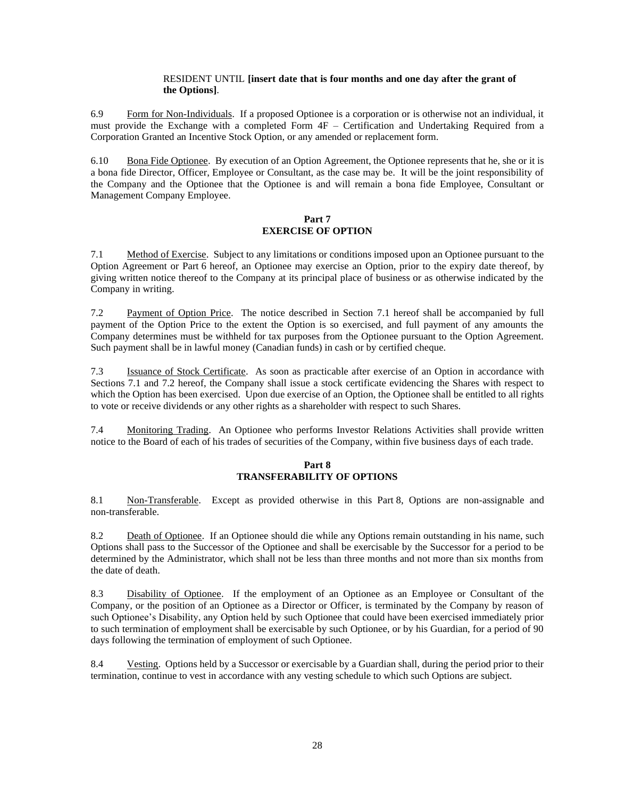### RESIDENT UNTIL **[insert date that is four months and one day after the grant of the Options]**.

6.9 Form for Non-Individuals. If a proposed Optionee is a corporation or is otherwise not an individual, it must provide the Exchange with a completed Form 4F – Certification and Undertaking Required from a Corporation Granted an Incentive Stock Option, or any amended or replacement form.

6.10 Bona Fide Optionee. By execution of an Option Agreement, the Optionee represents that he, she or it is a bona fide Director, Officer, Employee or Consultant, as the case may be. It will be the joint responsibility of the Company and the Optionee that the Optionee is and will remain a bona fide Employee, Consultant or Management Company Employee.

### **Part 7 EXERCISE OF OPTION**

<span id="page-27-0"></span>7.1 Method of Exercise. Subject to any limitations or conditions imposed upon an Optionee pursuant to the Option Agreement or [Part](#page-25-0) 6 hereof, an Optionee may exercise an Option, prior to the expiry date thereof, by giving written notice thereof to the Company at its principal place of business or as otherwise indicated by the Company in writing.

<span id="page-27-1"></span>7.2 Payment of Option Price. The notice described in Section [7.1](#page-27-0) hereof shall be accompanied by full payment of the Option Price to the extent the Option is so exercised, and full payment of any amounts the Company determines must be withheld for tax purposes from the Optionee pursuant to the Option Agreement. Such payment shall be in lawful money (Canadian funds) in cash or by certified cheque.

7.3 Issuance of Stock Certificate. As soon as practicable after exercise of an Option in accordance with Sections [7.1](#page-27-0) and [7.2](#page-27-1) hereof, the Company shall issue a stock certificate evidencing the Shares with respect to which the Option has been exercised. Upon due exercise of an Option, the Optionee shall be entitled to all rights to vote or receive dividends or any other rights as a shareholder with respect to such Shares.

<span id="page-27-2"></span>7.4 Monitoring Trading. An Optionee who performs Investor Relations Activities shall provide written notice to the Board of each of his trades of securities of the Company, within five business days of each trade.

# **Part 8 TRANSFERABILITY OF OPTIONS**

<span id="page-27-3"></span>8.1 Non-Transferable. Except as provided otherwise in this [Part](#page-27-2) 8, Options are non-assignable and non-transferable.

8.2 Death of Optionee. If an Optionee should die while any Options remain outstanding in his name, such Options shall pass to the Successor of the Optionee and shall be exercisable by the Successor for a period to be determined by the Administrator, which shall not be less than three months and not more than six months from the date of death.

8.3 Disability of Optionee. If the employment of an Optionee as an Employee or Consultant of the Company, or the position of an Optionee as a Director or Officer, is terminated by the Company by reason of such Optionee's Disability, any Option held by such Optionee that could have been exercised immediately prior to such termination of employment shall be exercisable by such Optionee, or by his Guardian, for a period of 90 days following the termination of employment of such Optionee.

8.4 Vesting. Options held by a Successor or exercisable by a Guardian shall, during the period prior to their termination, continue to vest in accordance with any vesting schedule to which such Options are subject.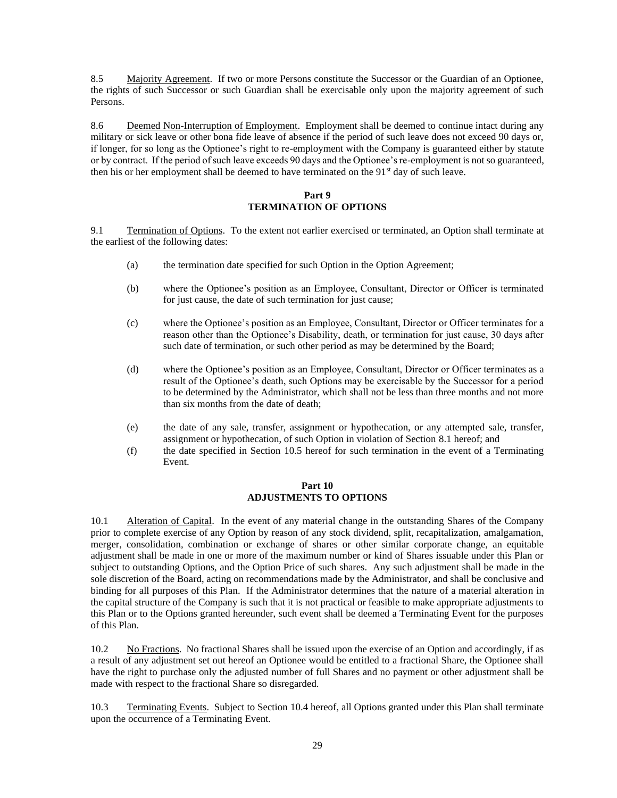8.5 Majority Agreement. If two or more Persons constitute the Successor or the Guardian of an Optionee, the rights of such Successor or such Guardian shall be exercisable only upon the majority agreement of such Persons.

8.6 Deemed Non-Interruption of Employment. Employment shall be deemed to continue intact during any military or sick leave or other bona fide leave of absence if the period of such leave does not exceed 90 days or, if longer, for so long as the Optionee's right to re-employment with the Company is guaranteed either by statute or by contract. If the period of such leave exceeds 90 days and the Optionee's re-employment is not so guaranteed, then his or her employment shall be deemed to have terminated on the 91<sup>st</sup> day of such leave.

### **Part 9 TERMINATION OF OPTIONS**

9.1 Termination of Options. To the extent not earlier exercised or terminated, an Option shall terminate at the earliest of the following dates:

- (a) the termination date specified for such Option in the Option Agreement;
- (b) where the Optionee's position as an Employee, Consultant, Director or Officer is terminated for just cause, the date of such termination for just cause;
- (c) where the Optionee's position as an Employee, Consultant, Director or Officer terminates for a reason other than the Optionee's Disability, death, or termination for just cause, 30 days after such date of termination, or such other period as may be determined by the Board;
- (d) where the Optionee's position as an Employee, Consultant, Director or Officer terminates as a result of the Optionee's death, such Options may be exercisable by the Successor for a period to be determined by the Administrator, which shall not be less than three months and not more than six months from the date of death;
- (e) the date of any sale, transfer, assignment or hypothecation, or any attempted sale, transfer, assignment or hypothecation, of such Option in violation of Section [8.1](#page-27-3) hereof; and
- <span id="page-28-1"></span>(f) the date specified in Section [10.5](#page-29-0) hereof for such termination in the event of a Terminating Event.

### **Part 10 ADJUSTMENTS TO OPTIONS**

<span id="page-28-0"></span>10.1 Alteration of Capital. In the event of any material change in the outstanding Shares of the Company prior to complete exercise of any Option by reason of any stock dividend, split, recapitalization, amalgamation, merger, consolidation, combination or exchange of shares or other similar corporate change, an equitable adjustment shall be made in one or more of the maximum number or kind of Shares issuable under this Plan or subject to outstanding Options, and the Option Price of such shares. Any such adjustment shall be made in the sole discretion of the Board, acting on recommendations made by the Administrator, and shall be conclusive and binding for all purposes of this Plan. If the Administrator determines that the nature of a material alteration in the capital structure of the Company is such that it is not practical or feasible to make appropriate adjustments to this Plan or to the Options granted hereunder, such event shall be deemed a Terminating Event for the purposes of this Plan.

10.2 No Fractions. No fractional Shares shall be issued upon the exercise of an Option and accordingly, if as a result of any adjustment set out hereof an Optionee would be entitled to a fractional Share, the Optionee shall have the right to purchase only the adjusted number of full Shares and no payment or other adjustment shall be made with respect to the fractional Share so disregarded.

10.3 Terminating Events. Subject to Section [10.4](#page-29-1) hereof, all Options granted under this Plan shall terminate upon the occurrence of a Terminating Event.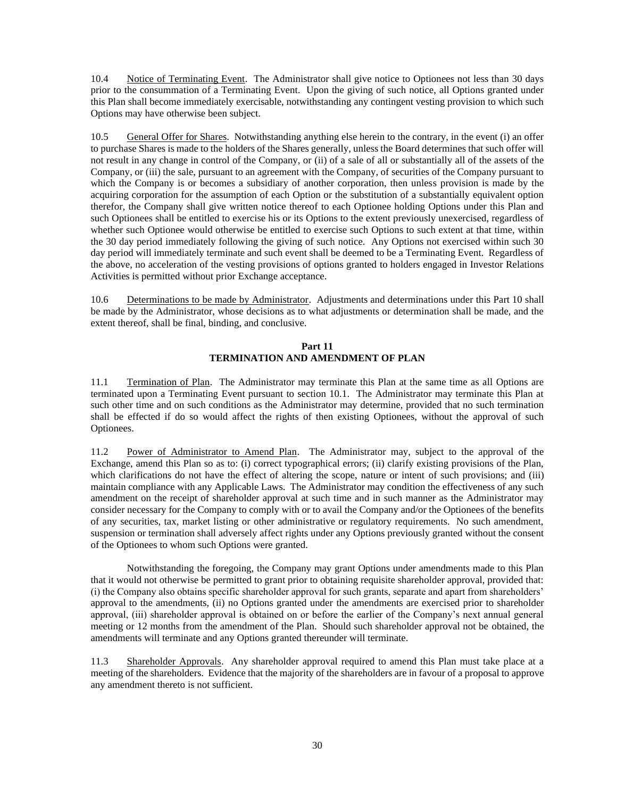<span id="page-29-1"></span>10.4 Notice of Terminating Event. The Administrator shall give notice to Optionees not less than 30 days prior to the consummation of a Terminating Event. Upon the giving of such notice, all Options granted under this Plan shall become immediately exercisable, notwithstanding any contingent vesting provision to which such Options may have otherwise been subject.

<span id="page-29-0"></span>10.5 General Offer for Shares. Notwithstanding anything else herein to the contrary, in the event (i) an offer to purchase Shares is made to the holders of the Shares generally, unless the Board determines that such offer will not result in any change in control of the Company, or (ii) of a sale of all or substantially all of the assets of the Company, or (iii) the sale, pursuant to an agreement with the Company, of securities of the Company pursuant to which the Company is or becomes a subsidiary of another corporation, then unless provision is made by the acquiring corporation for the assumption of each Option or the substitution of a substantially equivalent option therefor, the Company shall give written notice thereof to each Optionee holding Options under this Plan and such Optionees shall be entitled to exercise his or its Options to the extent previously unexercised, regardless of whether such Optionee would otherwise be entitled to exercise such Options to such extent at that time, within the 30 day period immediately following the giving of such notice. Any Options not exercised within such 30 day period will immediately terminate and such event shall be deemed to be a Terminating Event. Regardless of the above, no acceleration of the vesting provisions of options granted to holders engaged in Investor Relations Activities is permitted without prior Exchange acceptance.

10.6 Determinations to be made by Administrator. Adjustments and determinations under this [Part](#page-28-1) 10 shall be made by the Administrator, whose decisions as to what adjustments or determination shall be made, and the extent thereof, shall be final, binding, and conclusive.

### **Part 11 TERMINATION AND AMENDMENT OF PLAN**

11.1 Termination of Plan. The Administrator may terminate this Plan at the same time as all Options are terminated upon a Terminating Event pursuant to section 10.1. The Administrator may terminate this Plan at such other time and on such conditions as the Administrator may determine, provided that no such termination shall be effected if do so would affect the rights of then existing Optionees, without the approval of such Optionees.

11.2 Power of Administrator to Amend Plan. The Administrator may, subject to the approval of the Exchange, amend this Plan so as to: (i) correct typographical errors; (ii) clarify existing provisions of the Plan, which clarifications do not have the effect of altering the scope, nature or intent of such provisions; and (iii) maintain compliance with any Applicable Laws. The Administrator may condition the effectiveness of any such amendment on the receipt of shareholder approval at such time and in such manner as the Administrator may consider necessary for the Company to comply with or to avail the Company and/or the Optionees of the benefits of any securities, tax, market listing or other administrative or regulatory requirements. No such amendment, suspension or termination shall adversely affect rights under any Options previously granted without the consent of the Optionees to whom such Options were granted.

Notwithstanding the foregoing, the Company may grant Options under amendments made to this Plan that it would not otherwise be permitted to grant prior to obtaining requisite shareholder approval, provided that: (i) the Company also obtains specific shareholder approval for such grants, separate and apart from shareholders' approval to the amendments, (ii) no Options granted under the amendments are exercised prior to shareholder approval, (iii) shareholder approval is obtained on or before the earlier of the Company's next annual general meeting or 12 months from the amendment of the Plan. Should such shareholder approval not be obtained, the amendments will terminate and any Options granted thereunder will terminate.

11.3 Shareholder Approvals. Any shareholder approval required to amend this Plan must take place at a meeting of the shareholders. Evidence that the majority of the shareholders are in favour of a proposal to approve any amendment thereto is not sufficient.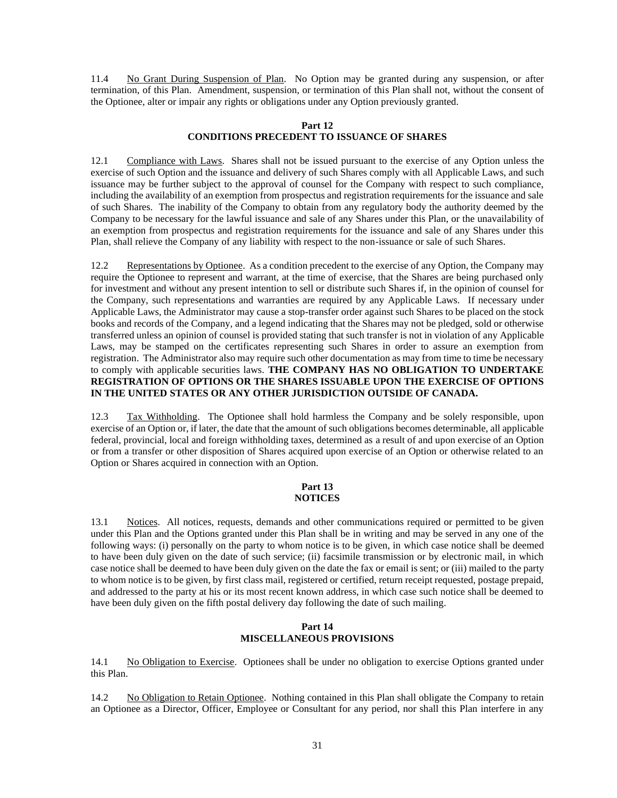11.4 No Grant During Suspension of Plan. No Option may be granted during any suspension, or after termination, of this Plan. Amendment, suspension, or termination of this Plan shall not, without the consent of the Optionee, alter or impair any rights or obligations under any Option previously granted.

#### **Part 12 CONDITIONS PRECEDENT TO ISSUANCE OF SHARES**

12.1 Compliance with Laws. Shares shall not be issued pursuant to the exercise of any Option unless the exercise of such Option and the issuance and delivery of such Shares comply with all Applicable Laws, and such issuance may be further subject to the approval of counsel for the Company with respect to such compliance, including the availability of an exemption from prospectus and registration requirements for the issuance and sale of such Shares. The inability of the Company to obtain from any regulatory body the authority deemed by the Company to be necessary for the lawful issuance and sale of any Shares under this Plan, or the unavailability of an exemption from prospectus and registration requirements for the issuance and sale of any Shares under this Plan, shall relieve the Company of any liability with respect to the non-issuance or sale of such Shares.

12.2 Representations by Optionee. As a condition precedent to the exercise of any Option, the Company may require the Optionee to represent and warrant, at the time of exercise, that the Shares are being purchased only for investment and without any present intention to sell or distribute such Shares if, in the opinion of counsel for the Company, such representations and warranties are required by any Applicable Laws. If necessary under Applicable Laws, the Administrator may cause a stop-transfer order against such Shares to be placed on the stock books and records of the Company, and a legend indicating that the Shares may not be pledged, sold or otherwise transferred unless an opinion of counsel is provided stating that such transfer is not in violation of any Applicable Laws, may be stamped on the certificates representing such Shares in order to assure an exemption from registration. The Administrator also may require such other documentation as may from time to time be necessary to comply with applicable securities laws. **THE COMPANY HAS NO OBLIGATION TO UNDERTAKE REGISTRATION OF OPTIONS OR THE SHARES ISSUABLE UPON THE EXERCISE OF OPTIONS IN THE UNITED STATES OR ANY OTHER JURISDICTION OUTSIDE OF CANADA.**

12.3 Tax Withholding. The Optionee shall hold harmless the Company and be solely responsible, upon exercise of an Option or, if later, the date that the amount of such obligations becomes determinable, all applicable federal, provincial, local and foreign withholding taxes, determined as a result of and upon exercise of an Option or from a transfer or other disposition of Shares acquired upon exercise of an Option or otherwise related to an Option or Shares acquired in connection with an Option.

#### **Part 13 NOTICES**

13.1 Notices. All notices, requests, demands and other communications required or permitted to be given under this Plan and the Options granted under this Plan shall be in writing and may be served in any one of the following ways: (i) personally on the party to whom notice is to be given, in which case notice shall be deemed to have been duly given on the date of such service; (ii) facsimile transmission or by electronic mail, in which case notice shall be deemed to have been duly given on the date the fax or email is sent; or (iii) mailed to the party to whom notice is to be given, by first class mail, registered or certified, return receipt requested, postage prepaid, and addressed to the party at his or its most recent known address, in which case such notice shall be deemed to have been duly given on the fifth postal delivery day following the date of such mailing.

### **Part 14 MISCELLANEOUS PROVISIONS**

14.1 No Obligation to Exercise. Optionees shall be under no obligation to exercise Options granted under this Plan.

14.2 No Obligation to Retain Optionee. Nothing contained in this Plan shall obligate the Company to retain an Optionee as a Director, Officer, Employee or Consultant for any period, nor shall this Plan interfere in any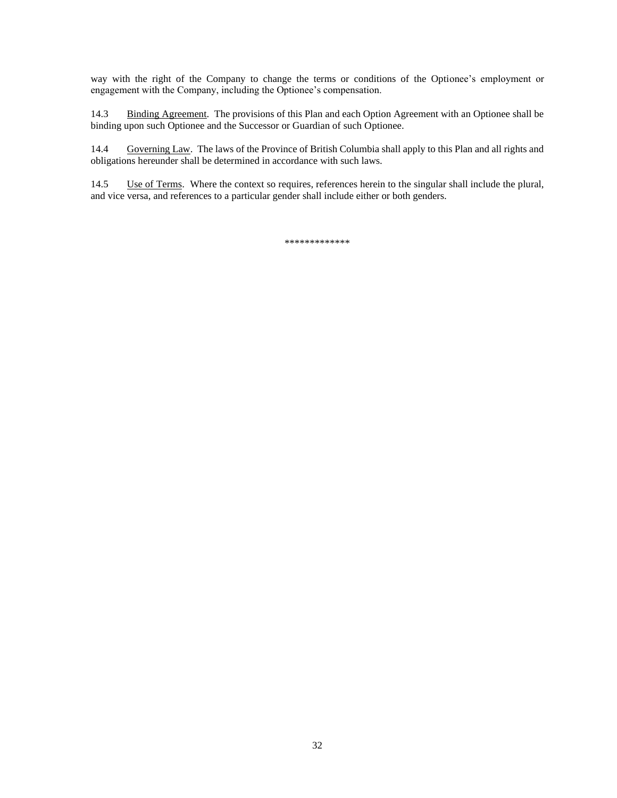way with the right of the Company to change the terms or conditions of the Optionee's employment or engagement with the Company, including the Optionee's compensation.

14.3 Binding Agreement. The provisions of this Plan and each Option Agreement with an Optionee shall be binding upon such Optionee and the Successor or Guardian of such Optionee.

14.4 Governing Law. The laws of the Province of British Columbia shall apply to this Plan and all rights and obligations hereunder shall be determined in accordance with such laws.

14.5 Use of Terms. Where the context so requires, references herein to the singular shall include the plural, and vice versa, and references to a particular gender shall include either or both genders.

\*\*\*\*\*\*\*\*\*\*\*\*\*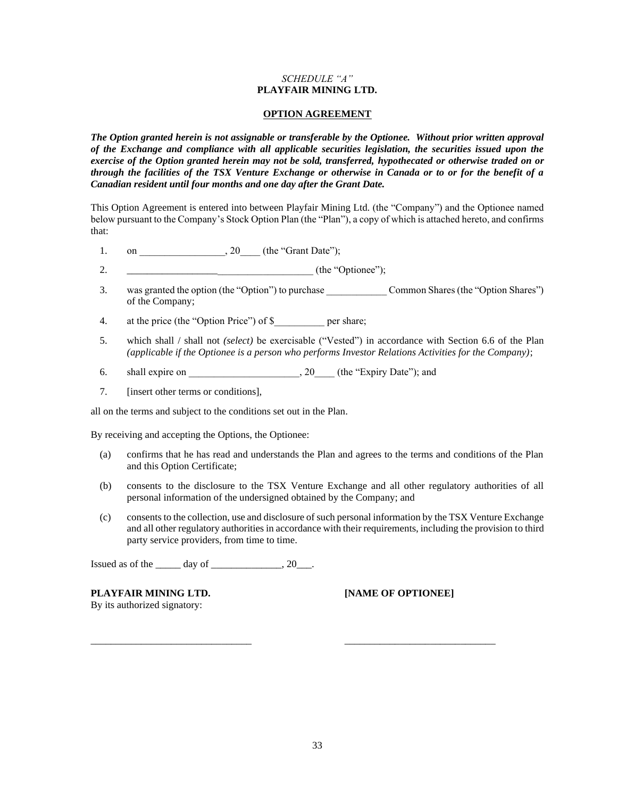### *SCHEDULE "A"* **PLAYFAIR MINING LTD.**

#### **OPTION AGREEMENT**

*The Option granted herein is not assignable or transferable by the Optionee. Without prior written approval of the Exchange and compliance with all applicable securities legislation, the securities issued upon the exercise of the Option granted herein may not be sold, transferred, hypothecated or otherwise traded on or through the facilities of the TSX Venture Exchange or otherwise in Canada or to or for the benefit of a Canadian resident until four months and one day after the Grant Date.* 

This Option Agreement is entered into between Playfair Mining Ltd. (the "Company") and the Optionee named below pursuant to the Company's Stock Option Plan (the "Plan"), a copy of which is attached hereto, and confirms that:

- 1. on  $, 20$  (the "Grant Date");
- 2. \_\_\_\_\_\_\_\_\_\_\_\_\_\_\_\_\_\_\_\_\_\_\_\_\_\_\_\_\_\_\_\_\_\_\_\_\_ (the "Optionee");
- 3. was granted the option (the "Option") to purchase \_\_\_\_\_\_\_\_\_\_\_\_ Common Shares (the "Option Shares") of the Company;
- 4. at the price (the "Option Price") of \$ per share;
- 5. which shall / shall not *(select)* be exercisable ("Vested") in accordance with Section 6.6 of the Plan *(applicable if the Optionee is a person who performs Investor Relations Activities for the Company)*;
- 6. shall expire on \_\_\_\_\_\_\_\_\_\_\_\_\_\_\_\_\_\_\_\_\_\_\_, 20\_\_\_\_ (the "Expiry Date"); and
- 7. *<u>I</u>* linsert other terms or conditions],

all on the terms and subject to the conditions set out in the Plan.

By receiving and accepting the Options, the Optionee:

- (a) confirms that he has read and understands the Plan and agrees to the terms and conditions of the Plan and this Option Certificate;
- (b) consents to the disclosure to the TSX Venture Exchange and all other regulatory authorities of all personal information of the undersigned obtained by the Company; and
- (c) consents to the collection, use and disclosure of such personal information by the TSX Venture Exchange and all other regulatory authorities in accordance with their requirements, including the provision to third party service providers, from time to time.

Issued as of the day of the  $\qquad \qquad 20 \qquad .$ 

**PLAYFAIR MINING LTD. [NAME OF OPTIONEE]** By its authorized signatory:

\_\_\_\_\_\_\_\_\_\_\_\_\_\_\_\_\_\_\_\_\_\_\_\_\_\_\_\_\_\_\_\_ \_\_\_\_\_\_\_\_\_\_\_\_\_\_\_\_\_\_\_\_\_\_\_\_\_\_\_\_\_\_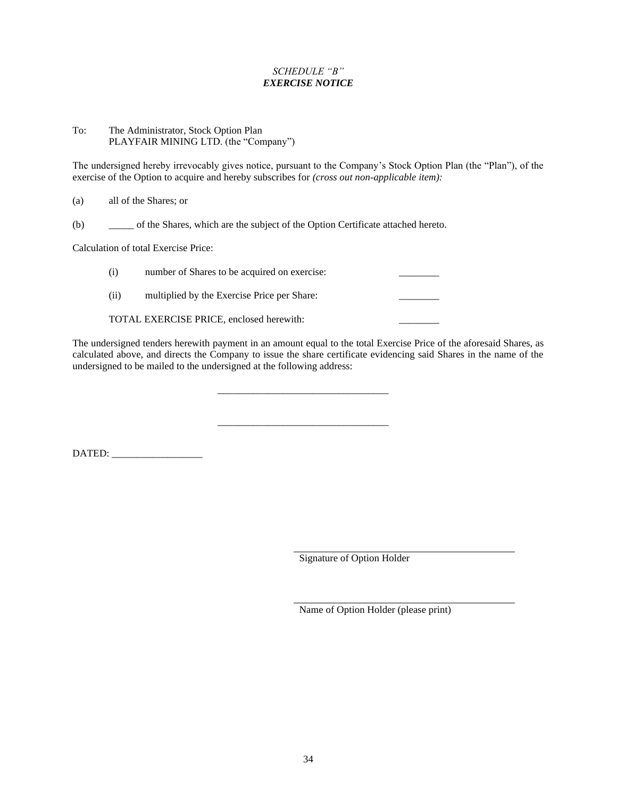# *SCHEDULE "B" EXERCISE NOTICE*

### To: The Administrator, Stock Option Plan PLAYFAIR MINING LTD. (the "Company")

The undersigned hereby irrevocably gives notice, pursuant to the Company's Stock Option Plan (the "Plan"), of the exercise of the Option to acquire and hereby subscribes for *(cross out non-applicable item):*

| (a) | all of the Shares; or |
|-----|-----------------------|
|     |                       |

(b) \_\_\_\_\_ of the Shares, which are the subject of the Option Certificate attached hereto.

Calculation of total Exercise Price:

| (i)  | number of Shares to be acquired on exercise: |  |
|------|----------------------------------------------|--|
| (ii) | multiplied by the Exercise Price per Share:  |  |
|      | TOTAL EXERCISE PRICE, enclosed herewith:     |  |

The undersigned tenders herewith payment in an amount equal to the total Exercise Price of the aforesaid Shares, as calculated above, and directs the Company to issue the share certificate evidencing said Shares in the name of the undersigned to be mailed to the undersigned at the following address:

\_\_\_\_\_\_\_\_\_\_\_\_\_\_\_\_\_\_\_\_\_\_\_\_\_\_\_\_\_\_\_\_\_\_

\_\_\_\_\_\_\_\_\_\_\_\_\_\_\_\_\_\_\_\_\_\_\_\_\_\_\_\_\_\_\_\_\_\_

DATED: \_\_\_\_\_\_\_\_\_\_\_\_\_\_\_\_\_\_

Signature of Option Holder

Name of Option Holder (please print)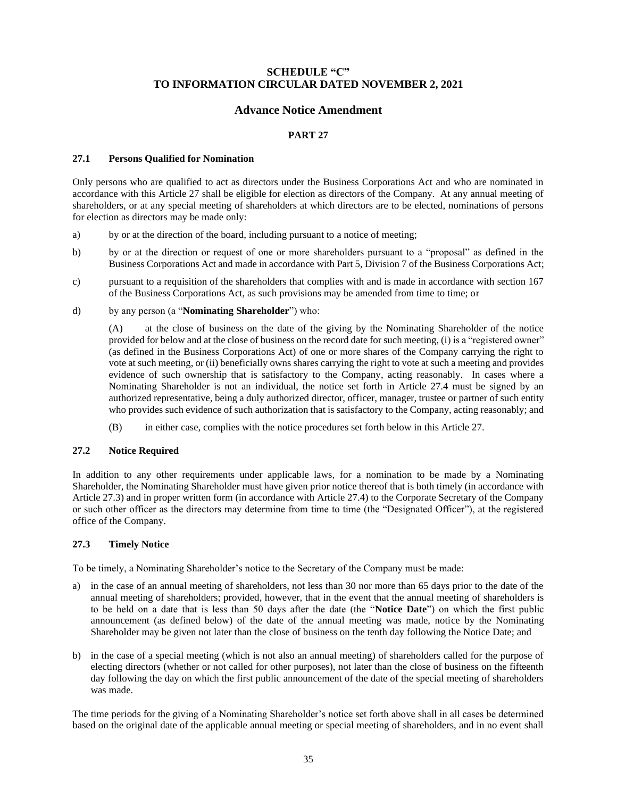# **SCHEDULE "C" TO INFORMATION CIRCULAR DATED NOVEMBER 2, 2021**

# **Advance Notice Amendment**

### **PART 27**

### **27.1 Persons Qualified for Nomination**

Only persons who are qualified to act as directors under the Business Corporations Act and who are nominated in accordance with this Article 27 shall be eligible for election as directors of the Company. At any annual meeting of shareholders, or at any special meeting of shareholders at which directors are to be elected, nominations of persons for election as directors may be made only:

- a) by or at the direction of the board, including pursuant to a notice of meeting;
- b) by or at the direction or request of one or more shareholders pursuant to a "proposal" as defined in the Business Corporations Act and made in accordance with Part 5, Division 7 of the Business Corporations Act;
- c) pursuant to a requisition of the shareholders that complies with and is made in accordance with section 167 of the Business Corporations Act, as such provisions may be amended from time to time; or
- d) by any person (a "**Nominating Shareholder**") who:

(A) at the close of business on the date of the giving by the Nominating Shareholder of the notice provided for below and at the close of business on the record date for such meeting, (i) is a "registered owner" (as defined in the Business Corporations Act) of one or more shares of the Company carrying the right to vote at such meeting, or (ii) beneficially owns shares carrying the right to vote at such a meeting and provides evidence of such ownership that is satisfactory to the Company, acting reasonably. In cases where a Nominating Shareholder is not an individual, the notice set forth in Article 27.4 must be signed by an authorized representative, being a duly authorized director, officer, manager, trustee or partner of such entity who provides such evidence of such authorization that is satisfactory to the Company, acting reasonably; and

(B) in either case, complies with the notice procedures set forth below in this Article 27.

### **27.2 Notice Required**

In addition to any other requirements under applicable laws, for a nomination to be made by a Nominating Shareholder, the Nominating Shareholder must have given prior notice thereof that is both timely (in accordance with Article 27.3) and in proper written form (in accordance with Article 27.4) to the Corporate Secretary of the Company or such other officer as the directors may determine from time to time (the "Designated Officer"), at the registered office of the Company.

#### **27.3 Timely Notice**

To be timely, a Nominating Shareholder's notice to the Secretary of the Company must be made:

- a) in the case of an annual meeting of shareholders, not less than 30 nor more than 65 days prior to the date of the annual meeting of shareholders; provided, however, that in the event that the annual meeting of shareholders is to be held on a date that is less than 50 days after the date (the "**Notice Date**") on which the first public announcement (as defined below) of the date of the annual meeting was made, notice by the Nominating Shareholder may be given not later than the close of business on the tenth day following the Notice Date; and
- b) in the case of a special meeting (which is not also an annual meeting) of shareholders called for the purpose of electing directors (whether or not called for other purposes), not later than the close of business on the fifteenth day following the day on which the first public announcement of the date of the special meeting of shareholders was made.

The time periods for the giving of a Nominating Shareholder's notice set forth above shall in all cases be determined based on the original date of the applicable annual meeting or special meeting of shareholders, and in no event shall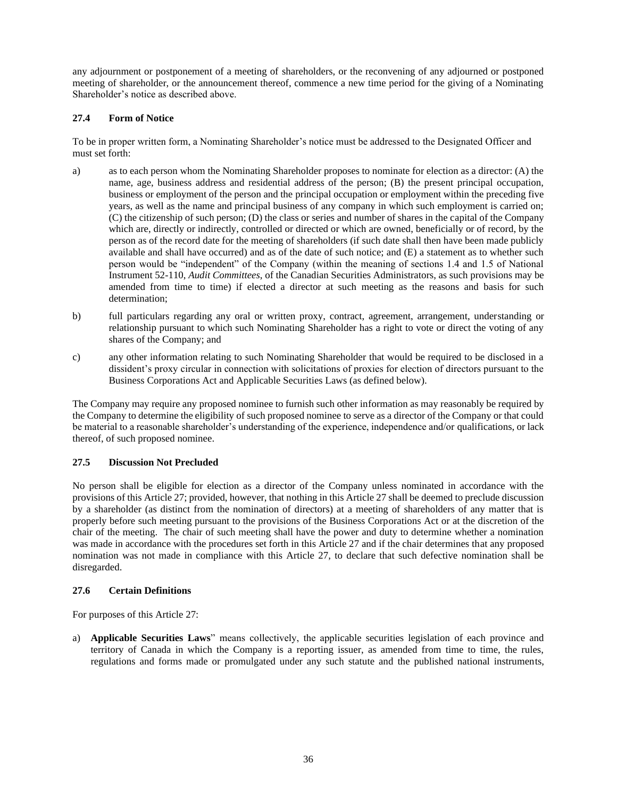any adjournment or postponement of a meeting of shareholders, or the reconvening of any adjourned or postponed meeting of shareholder, or the announcement thereof, commence a new time period for the giving of a Nominating Shareholder's notice as described above.

### **27.4 Form of Notice**

To be in proper written form, a Nominating Shareholder's notice must be addressed to the Designated Officer and must set forth:

- a) as to each person whom the Nominating Shareholder proposes to nominate for election as a director: (A) the name, age, business address and residential address of the person; (B) the present principal occupation, business or employment of the person and the principal occupation or employment within the preceding five years, as well as the name and principal business of any company in which such employment is carried on; (C) the citizenship of such person; (D) the class or series and number of shares in the capital of the Company which are, directly or indirectly, controlled or directed or which are owned, beneficially or of record, by the person as of the record date for the meeting of shareholders (if such date shall then have been made publicly available and shall have occurred) and as of the date of such notice; and (E) a statement as to whether such person would be "independent" of the Company (within the meaning of sections 1.4 and 1.5 of National Instrument 52-110, *Audit Committees*, of the Canadian Securities Administrators, as such provisions may be amended from time to time) if elected a director at such meeting as the reasons and basis for such determination;
- b) full particulars regarding any oral or written proxy, contract, agreement, arrangement, understanding or relationship pursuant to which such Nominating Shareholder has a right to vote or direct the voting of any shares of the Company; and
- c) any other information relating to such Nominating Shareholder that would be required to be disclosed in a dissident's proxy circular in connection with solicitations of proxies for election of directors pursuant to the Business Corporations Act and Applicable Securities Laws (as defined below).

The Company may require any proposed nominee to furnish such other information as may reasonably be required by the Company to determine the eligibility of such proposed nominee to serve as a director of the Company or that could be material to a reasonable shareholder's understanding of the experience, independence and/or qualifications, or lack thereof, of such proposed nominee.

### **27.5 Discussion Not Precluded**

No person shall be eligible for election as a director of the Company unless nominated in accordance with the provisions of this Article 27; provided, however, that nothing in this Article 27 shall be deemed to preclude discussion by a shareholder (as distinct from the nomination of directors) at a meeting of shareholders of any matter that is properly before such meeting pursuant to the provisions of the Business Corporations Act or at the discretion of the chair of the meeting. The chair of such meeting shall have the power and duty to determine whether a nomination was made in accordance with the procedures set forth in this Article 27 and if the chair determines that any proposed nomination was not made in compliance with this Article 27, to declare that such defective nomination shall be disregarded.

### **27.6 Certain Definitions**

For purposes of this Article 27:

a) **Applicable Securities Laws**" means collectively, the applicable securities legislation of each province and territory of Canada in which the Company is a reporting issuer, as amended from time to time, the rules, regulations and forms made or promulgated under any such statute and the published national instruments,